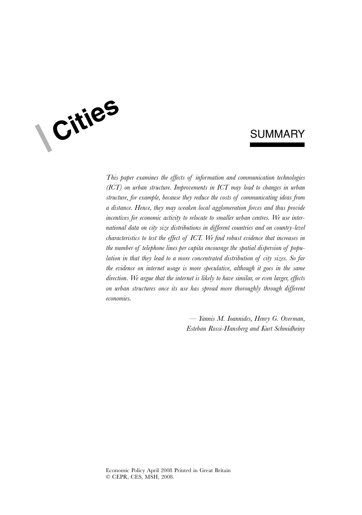# **Cities**

## SUMMARY

*This paper examines the effects of information and communication technologies (ICT) on urban structure. Improvements in ICT may lead to changes in urban structure, for example, because they reduce the costs of communicating ideas from a distance. Hence, they may weaken local agglomeration forces and thus provide incentives for economic activity to relocate to smaller urban centres. We use international data on city size distributions in different countries and on country-level characteristics to test the effect of ICT. We find robust evidence that increases in the number of telephone lines per capita encourage the spatial dispersion of population in that they lead to a more concentrated distribution of city sizes. So far the evidence on internet usage is more speculative, although it goes in the same direction. We argue that the internet is likely to have similar, or even larger, effects on urban structures once its use has spread more thoroughly through different economies.*

> *— Yannis M. Ioannides, Henry G. Overman, Esteban Rossi-Hansberg and Kurt Schmidheiny*

Economic Policy April 2008 Printed in Great Britain © CEPR, CES, MSH, 2008.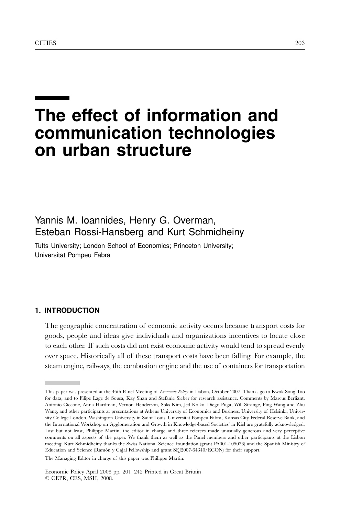# **The effect of information and communication technologies on urban structure**

### Yannis M. Ioannides, Henry G. Overman, Esteban Rossi-Hansberg and Kurt Schmidheiny

Tufts University; London School of Economics; Princeton University; Universitat Pompeu Fabra

#### **1. INTRODUCTION**

The geographic concentration of economic activity occurs because transport costs for goods, people and ideas give individuals and organizations incentives to locate close to each other. If such costs did not exist economic activity would tend to spread evenly over space. Historically all of these transport costs have been falling. For example, the steam engine, railways, the combustion engine and the use of containers for transportation

This paper was presented at the 46th Panel Meeting of *Economic Policy* in Lisbon, October 2007. Thanks go to Kwok Song Too for data, and to Filipe Lage de Sousa, Kay Shan and Stefanie Sieber for research assistance. Comments by Marcus Berliant, Antonio Ciccone, Anna Hardman, Vernon Henderson, Soks Kim, Jed Kolko, Diego Puga, Will Strange, Ping Wang and Zhu Wang, and other participants at presentations at Athens University of Economics and Business, University of Helsinki, University College London, Washington University in Saint Louis, Universitat Pompeu Fabra, Kansas City Federal Reserve Bank, and the International Workshop on 'Agglomeration and Growth in Knowledge-based Societies' in Kiel are gratefully acknowledged. Last but not least, Philippe Martin, the editor in charge and three referees made unusually generous and very perceptive comments on all aspects of the paper. We thank them as well as the Panel members and other participants at the Lisbon meeting. Kurt Schmidheiny thanks the Swiss National Science Foundation (grant PA001-105026) and the Spanish Ministry of Education and Science (Ramón y Cajal Fellowship and grant SEJ2007-64340/ECON) for their support.

The Managing Editor in charge of this paper was Philippe Martin.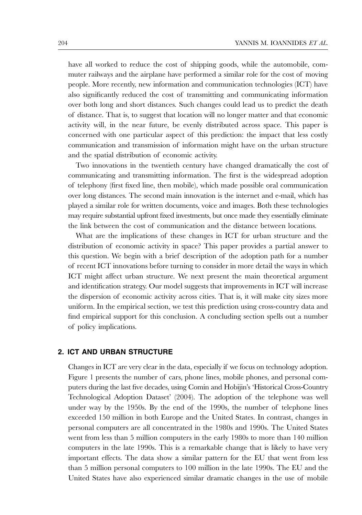have all worked to reduce the cost of shipping goods, while the automobile, commuter railways and the airplane have performed a similar role for the cost of moving people. More recently, new information and communication technologies (ICT) have also significantly reduced the cost of transmitting and communicating information over both long and short distances. Such changes could lead us to predict the death of distance. That is, to suggest that location will no longer matter and that economic activity will, in the near future, be evenly distributed across space. This paper is concerned with one particular aspect of this prediction: the impact that less costly communication and transmission of information might have on the urban structure and the spatial distribution of economic activity.

Two innovations in the twentieth century have changed dramatically the cost of communicating and transmitting information. The first is the widespread adoption of telephony (first fixed line, then mobile), which made possible oral communication over long distances. The second main innovation is the internet and e-mail, which has played a similar role for written documents, voice and images. Both these technologies may require substantial upfront fixed investments, but once made they essentially eliminate the link between the cost of communication and the distance between locations.

What are the implications of these changes in ICT for urban structure and the distribution of economic activity in space? This paper provides a partial answer to this question. We begin with a brief description of the adoption path for a number of recent ICT innovations before turning to consider in more detail the ways in which ICT might affect urban structure. We next present the main theoretical argument and identification strategy. Our model suggests that improvements in ICT will increase the dispersion of economic activity across cities. That is, it will make city sizes more uniform. In the empirical section, we test this prediction using cross-country data and find empirical support for this conclusion. A concluding section spells out a number of policy implications.

#### **2. ICT AND URBAN STRUCTURE**

Changes in ICT are very clear in the data, especially if we focus on technology adoption. Figure 1 presents the number of cars, phone lines, mobile phones, and personal computers during the last five decades, using Comin and Hobijin's 'Historical Cross-Country Technological Adoption Dataset' (2004). The adoption of the telephone was well under way by the 1950s. By the end of the 1990s, the number of telephone lines exceeded 150 million in both Europe and the United States. In contrast, changes in personal computers are all concentrated in the 1980s and 1990s. The United States went from less than 5 million computers in the early 1980s to more than 140 million computers in the late 1990s. This is a remarkable change that is likely to have very important effects. The data show a similar pattern for the EU that went from less than 5 million personal computers to 100 million in the late 1990s. The EU and the United States have also experienced similar dramatic changes in the use of mobile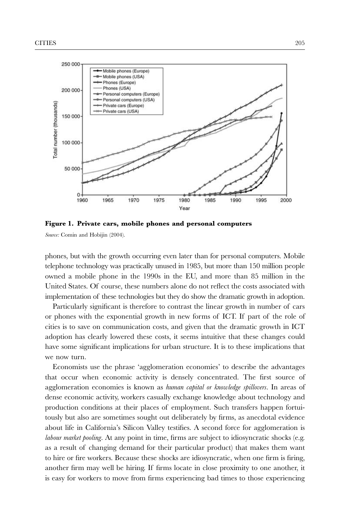

**Figure 1. Private cars, mobile phones and personal computers**

*Source:* Comin and Hobijin (2004).

phones, but with the growth occurring even later than for personal computers. Mobile telephone technology was practically unused in 1985, but more than 150 million people owned a mobile phone in the 1990s in the EU, and more than 85 million in the United States. Of course, these numbers alone do not reflect the costs associated with implementation of these technologies but they do show the dramatic growth in adoption.

Particularly significant is therefore to contrast the linear growth in number of cars or phones with the exponential growth in new forms of ICT. If part of the role of cities is to save on communication costs, and given that the dramatic growth in ICT adoption has clearly lowered these costs, it seems intuitive that these changes could have some significant implications for urban structure. It is to these implications that we now turn.

Economists use the phrase 'agglomeration economies' to describe the advantages that occur when economic activity is densely concentrated. The first source of agglomeration economies is known as *human capital or knowledge spillovers*. In areas of dense economic activity, workers casually exchange knowledge about technology and production conditions at their places of employment. Such transfers happen fortuitously but also are sometimes sought out deliberately by firms, as anecdotal evidence about life in California's Silicon Valley testifies. A second force for agglomeration is *labour market pooling*. At any point in time, firms are subject to idiosyncratic shocks (e.g. as a result of changing demand for their particular product) that makes them want to hire or fire workers. Because these shocks are idiosyncratic, when one firm is firing, another firm may well be hiring. If firms locate in close proximity to one another, it is easy for workers to move from firms experiencing bad times to those experiencing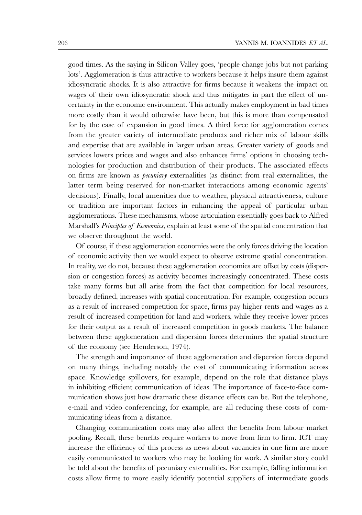good times. As the saying in Silicon Valley goes, 'people change jobs but not parking lots'. Agglomeration is thus attractive to workers because it helps insure them against idiosyncratic shocks. It is also attractive for firms because it weakens the impact on wages of their own idiosyncratic shock and thus mitigates in part the effect of uncertainty in the economic environment. This actually makes employment in bad times more costly than it would otherwise have been, but this is more than compensated for by the ease of expansion in good times. A third force for agglomeration comes from the greater variety of intermediate products and richer mix of labour skills and expertise that are available in larger urban areas. Greater variety of goods and services lowers prices and wages and also enhances firms' options in choosing technologies for production and distribution of their products. The associated effects on firms are known as *pecuniary* externalities (as distinct from real externalities, the latter term being reserved for non-market interactions among economic agents' decisions). Finally, local amenities due to weather, physical attractiveness, culture or tradition are important factors in enhancing the appeal of particular urban agglomerations. These mechanisms, whose articulation essentially goes back to Alfred Marshall's *Principles of Economics*, explain at least some of the spatial concentration that we observe throughout the world.

Of course, if these agglomeration economies were the only forces driving the location of economic activity then we would expect to observe extreme spatial concentration. In reality, we do not, because these agglomeration economies are offset by costs (dispersion or congestion forces) as activity becomes increasingly concentrated. These costs take many forms but all arise from the fact that competition for local resources, broadly defined, increases with spatial concentration. For example, congestion occurs as a result of increased competition for space, firms pay higher rents and wages as a result of increased competition for land and workers, while they receive lower prices for their output as a result of increased competition in goods markets. The balance between these agglomeration and dispersion forces determines the spatial structure of the economy (see Henderson, 1974).

The strength and importance of these agglomeration and dispersion forces depend on many things, including notably the cost of communicating information across space. Knowledge spillovers, for example, depend on the role that distance plays in inhibiting efficient communication of ideas. The importance of face-to-face communication shows just how dramatic these distance effects can be. But the telephone, e-mail and video conferencing, for example, are all reducing these costs of communicating ideas from a distance.

Changing communication costs may also affect the benefits from labour market pooling. Recall, these benefits require workers to move from firm to firm. ICT may increase the efficiency of this process as news about vacancies in one firm are more easily communicated to workers who may be looking for work. A similar story could be told about the benefits of pecuniary externalities. For example, falling information costs allow firms to more easily identify potential suppliers of intermediate goods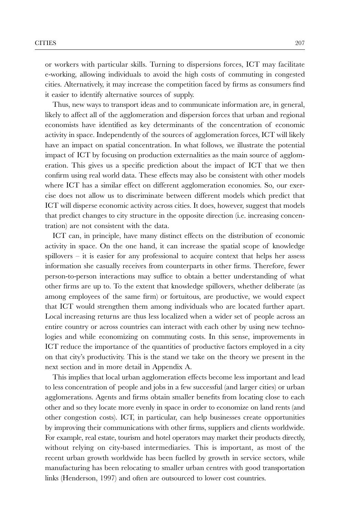or workers with particular skills. Turning to dispersions forces, ICT may facilitate e-working, allowing individuals to avoid the high costs of commuting in congested cities. Alternatively, it may increase the competition faced by firms as consumers find it easier to identify alternative sources of supply.

Thus, new ways to transport ideas and to communicate information are, in general, likely to affect all of the agglomeration and dispersion forces that urban and regional economists have identified as key determinants of the concentration of economic activity in space. Independently of the sources of agglomeration forces, ICT will likely have an impact on spatial concentration. In what follows, we illustrate the potential impact of ICT by focusing on production externalities as the main source of agglomeration. This gives us a specific prediction about the impact of ICT that we then confirm using real world data. These effects may also be consistent with other models where ICT has a similar effect on different agglomeration economies. So, our exercise does not allow us to discriminate between different models which predict that ICT will disperse economic activity across cities. It does, however, suggest that models that predict changes to city structure in the opposite direction (i.e. increasing concentration) are not consistent with the data.

ICT can, in principle, have many distinct effects on the distribution of economic activity in space. On the one hand, it can increase the spatial scope of knowledge spillovers – it is easier for any professional to acquire context that helps her assess information she casually receives from counterparts in other firms. Therefore, fewer person-to-person interactions may suffice to obtain a better understanding of what other firms are up to. To the extent that knowledge spillovers, whether deliberate (as among employees of the same firm) or fortuitous, are productive, we would expect that ICT would strengthen them among individuals who are located further apart. Local increasing returns are thus less localized when a wider set of people across an entire country or across countries can interact with each other by using new technologies and while economizing on commuting costs. In this sense, improvements in ICT reduce the importance of the quantities of productive factors employed in a city on that city's productivity. This is the stand we take on the theory we present in the next section and in more detail in Appendix A.

This implies that local urban agglomeration effects become less important and lead to less concentration of people and jobs in a few successful (and larger cities) or urban agglomerations. Agents and firms obtain smaller benefits from locating close to each other and so they locate more evenly in space in order to economize on land rents (and other congestion costs). ICT, in particular, can help businesses create opportunities by improving their communications with other firms, suppliers and clients worldwide. For example, real estate, tourism and hotel operators may market their products directly, without relying on city-based intermediaries. This is important, as most of the recent urban growth worldwide has been fuelled by growth in service sectors, while manufacturing has been relocating to smaller urban centres with good transportation links (Henderson, 1997) and often are outsourced to lower cost countries.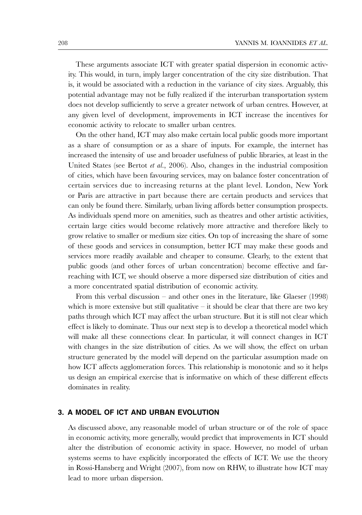These arguments associate ICT with greater spatial dispersion in economic activity. This would, in turn, imply larger concentration of the city size distribution. That is, it would be associated with a reduction in the variance of city sizes. Arguably, this potential advantage may not be fully realized if the interurban transportation system does not develop sufficiently to serve a greater network of urban centres. However, at any given level of development, improvements in ICT increase the incentives for economic activity to relocate to smaller urban centres.

On the other hand, ICT may also make certain local public goods more important as a share of consumption or as a share of inputs. For example, the internet has increased the intensity of use and broader usefulness of public libraries, at least in the United States (see Bertot *et al.*, 2006). Also, changes in the industrial composition of cities, which have been favouring services, may on balance foster concentration of certain services due to increasing returns at the plant level. London, New York or Paris are attractive in part because there are certain products and services that can only be found there. Similarly, urban living affords better consumption prospects. As individuals spend more on amenities, such as theatres and other artistic activities, certain large cities would become relatively more attractive and therefore likely to grow relative to smaller or medium size cities. On top of increasing the share of some of these goods and services in consumption, better ICT may make these goods and services more readily available and cheaper to consume. Clearly, to the extent that public goods (and other forces of urban concentration) become effective and farreaching with ICT, we should observe a more dispersed size distribution of cities and a more concentrated spatial distribution of economic activity.

From this verbal discussion – and other ones in the literature, like Glaeser (1998) which is more extensive but still qualitative  $-$  it should be clear that there are two key paths through which ICT may affect the urban structure. But it is still not clear which effect is likely to dominate. Thus our next step is to develop a theoretical model which will make all these connections clear. In particular, it will connect changes in ICT with changes in the size distribution of cities. As we will show, the effect on urban structure generated by the model will depend on the particular assumption made on how ICT affects agglomeration forces. This relationship is monotonic and so it helps us design an empirical exercise that is informative on which of these different effects dominates in reality.

#### **3. A MODEL OF ICT AND URBAN EVOLUTION**

As discussed above, any reasonable model of urban structure or of the role of space in economic activity, more generally, would predict that improvements in ICT should alter the distribution of economic activity in space. However, no model of urban systems seems to have explicitly incorporated the effects of ICT. We use the theory in Rossi-Hansberg and Wright (2007), from now on RHW, to illustrate how ICT may lead to more urban dispersion.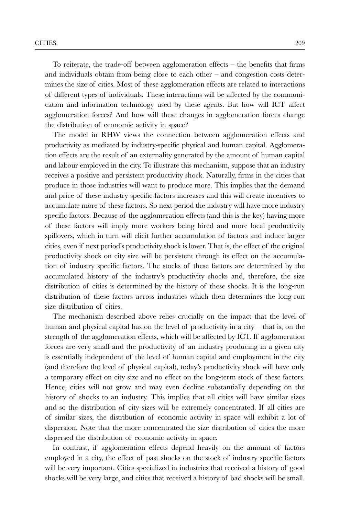To reiterate, the trade-off between agglomeration effects – the benefits that firms and individuals obtain from being close to each other – and congestion costs determines the size of cities. Most of these agglomeration effects are related to interactions of different types of individuals. These interactions will be affected by the communication and information technology used by these agents. But how will ICT affect agglomeration forces? And how will these changes in agglomeration forces change the distribution of economic activity in space?

The model in RHW views the connection between agglomeration effects and productivity as mediated by industry-specific physical and human capital. Agglomeration effects are the result of an externality generated by the amount of human capital and labour employed in the city. To illustrate this mechanism, suppose that an industry receives a positive and persistent productivity shock. Naturally, firms in the cities that produce in those industries will want to produce more. This implies that the demand and price of these industry specific factors increases and this will create incentives to accumulate more of these factors. So next period the industry will have more industry specific factors. Because of the agglomeration effects (and this is the key) having more of these factors will imply more workers being hired and more local productivity spillovers, which in turn will elicit further accumulation of factors and induce larger cities, even if next period's productivity shock is lower. That is, the effect of the original productivity shock on city size will be persistent through its effect on the accumulation of industry specific factors. The stocks of these factors are determined by the accumulated history of the industry's productivity shocks and, therefore, the size distribution of cities is determined by the history of these shocks. It is the long-run distribution of these factors across industries which then determines the long-run size distribution of cities.

The mechanism described above relies crucially on the impact that the level of human and physical capital has on the level of productivity in a city – that is, on the strength of the agglomeration effects, which will be affected by ICT. If agglomeration forces are very small and the productivity of an industry producing in a given city is essentially independent of the level of human capital and employment in the city (and therefore the level of physical capital), today's productivity shock will have only a temporary effect on city size and no effect on the long-term stock of these factors. Hence, cities will not grow and may even decline substantially depending on the history of shocks to an industry. This implies that all cities will have similar sizes and so the distribution of city sizes will be extremely concentrated. If all cities are of similar sizes, the distribution of economic activity in space will exhibit a lot of dispersion. Note that the more concentrated the size distribution of cities the more dispersed the distribution of economic activity in space.

In contrast, if agglomeration effects depend heavily on the amount of factors employed in a city, the effect of past shocks on the stock of industry specific factors will be very important. Cities specialized in industries that received a history of good shocks will be very large, and cities that received a history of bad shocks will be small.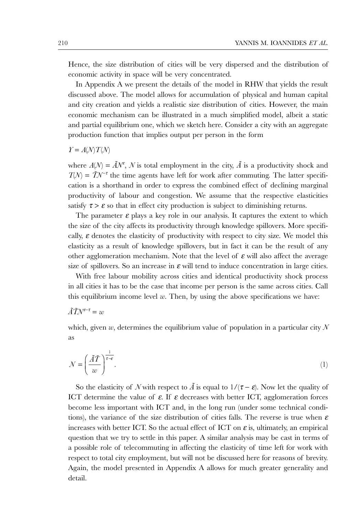Hence, the size distribution of cities will be very dispersed and the distribution of economic activity in space will be very concentrated.

In Appendix A we present the details of the model in RHW that yields the result discussed above. The model allows for accumulation of physical and human capital and city creation and yields a realistic size distribution of cities. However, the main economic mechanism can be illustrated in a much simplified model, albeit a static and partial equilibrium one, which we sketch here. Consider a city with an aggregate production function that implies output per person in the form

 $\Upsilon = A(N)T(N)$ 

where  $A(N) = \tilde{A}N^{\varepsilon}$ , N is total employment in the city,  $\tilde{A}$  is a productivity shock and  $T(N) = \tilde{T}N^{-\tau}$  the time agents have left for work after commuting. The latter specification is a shorthand in order to express the combined effect of declining marginal productivity of labour and congestion. We assume that the respective elasticities satisfy  $\tau > \varepsilon$  so that in effect city production is subject to diminishing returns.

The parameter  $\varepsilon$  plays a key role in our analysis. It captures the extent to which the size of the city affects its productivity through knowledge spillovers. More specifically,  $\varepsilon$  denotes the elasticity of productivity with respect to city size. We model this elasticity as a result of knowledge spillovers, but in fact it can be the result of any other agglomeration mechanism. Note that the level of  $\varepsilon$  will also affect the average size of spillovers. So an increase in  $\varepsilon$  will tend to induce concentration in large cities.

With free labour mobility across cities and identical productivity shock process in all cities it has to be the case that income per person is the same across cities. Call this equilibrium income level  $w$ . Then, by using the above specifications we have:

 $\tilde{A}\tilde{T}N^{\varepsilon-\tau} = w$ 

which, given *w*, determines the equilibrium value of population in a particular city  $N$ as

$$
\mathcal{N} = \left(\frac{\tilde{A}\tilde{T}}{w}\right)^{\frac{1}{\tau-\epsilon}}.\tag{1}
$$

So the elasticity of *N* with respect to  $\tilde{A}$  is equal to  $1/(\tau - \varepsilon)$ . Now let the quality of ICT determine the value of  $\varepsilon$ . If  $\varepsilon$  decreases with better ICT, agglomeration forces become less important with ICT and, in the long run (under some technical conditions), the variance of the size distribution of cities falls. The reverse is true when  $\varepsilon$ increases with better ICT. So the actual effect of ICT on  $\varepsilon$  is, ultimately, an empirical question that we try to settle in this paper. A similar analysis may be cast in terms of a possible role of telecommuting in affecting the elasticity of time left for work with respect to total city employment, but will not be discussed here for reasons of brevity. Again, the model presented in Appendix A allows for much greater generality and detail.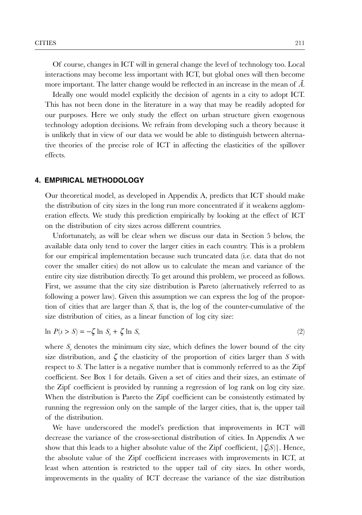Of course, changes in ICT will in general change the level of technology too. Local interactions may become less important with ICT, but global ones will then become more important. The latter change would be reflected in an increase in the mean of *Å*.

Ideally one would model explicitly the decision of agents in a city to adopt ICT. This has not been done in the literature in a way that may be readily adopted for our purposes. Here we only study the effect on urban structure given exogenous technology adoption decisions. We refrain from developing such a theory because it is unlikely that in view of our data we would be able to distinguish between alternative theories of the precise role of ICT in affecting the elasticities of the spillover effects.

#### **4. EMPIRICAL METHODOLOGY**

Our theoretical model, as developed in Appendix A, predicts that ICT should make the distribution of city sizes in the long run more concentrated if it weakens agglomeration effects. We study this prediction empirically by looking at the effect of ICT on the distribution of city sizes across different countries.

Unfortunately, as will be clear when we discuss our data in Section 5 below, the available data only tend to cover the larger cities in each country. This is a problem for our empirical implementation because such truncated data (i.e. data that do not cover the smaller cities) do not allow us to calculate the mean and variance of the entire city size distribution directly. To get around this problem, we proceed as follows. First, we assume that the city size distribution is Pareto (alternatively referred to as following a power law). Given this assumption we can express the log of the proportion of cities that are larger than *S*, that is, the log of the counter-cumulative of the size distribution of cities, as a linear function of log city size:

$$
\ln P(s > S) = -\zeta \ln S_s + \zeta \ln S,\tag{2}
$$

where  $S_n$  denotes the minimum city size, which defines the lower bound of the city size distribution, and  $\zeta$  the elasticity of the proportion of cities larger than *S* with respect to *S*. The latter is a negative number that is commonly referred to as the Zipf coefficient. See Box 1 for details. Given a set of cities and their sizes, an estimate of the Zipf coefficient is provided by running a regression of log rank on log city size. When the distribution is Pareto the Zipf coefficient can be consistently estimated by running the regression only on the sample of the larger cities, that is, the upper tail of the distribution.

We have underscored the model's prediction that improvements in ICT will decrease the variance of the cross-sectional distribution of cities. In Appendix A we show that this leads to a higher absolute value of the Zipf coefficient,  $|\zeta(S)|$ . Hence, the absolute value of the Zipf coefficient increases with improvements in ICT, at least when attention is restricted to the upper tail of city sizes. In other words, improvements in the quality of ICT decrease the variance of the size distribution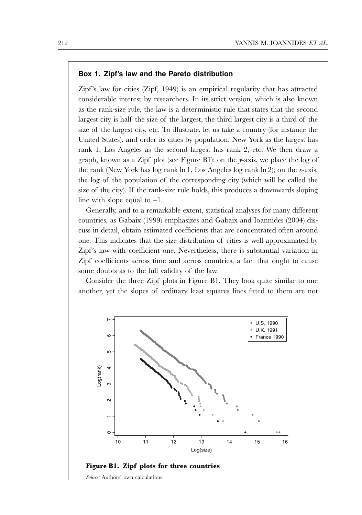#### **Box 1. Zipf's law and the Pareto distribution**

Zipf 's law for cities (Zipf, 1949) is an empirical regularity that has attracted considerable interest by researchers. In its strict version, which is also known as the rank-size rule, the law is a deterministic rule that states that the second largest city is half the size of the largest, the third largest city is a third of the size of the largest city, etc. To illustrate, let us take a country (for instance the United States), and order its cities by population: New York as the largest has rank 1, Los Angeles as the second largest has rank 2, etc. We then draw a graph, known as a Zipf plot (see Figure B1): on the *y*-axis, we place the log of the rank (New York has log rank ln 1, Los Angeles log rank ln 2); on the *x*-axis, the log of the population of the corresponding city (which will be called the size of the city). If the rank-size rule holds, this produces a downwards sloping line with slope equal to −1.

Generally, and to a remarkable extent, statistical analyses for many different countries, as Gabaix (1999) emphasizes and Gabaix and Ioannides (2004) discuss in detail, obtain estimated coefficients that are concentrated often around one. This indicates that the size distribution of cities is well approximated by Zipf 's law with coefficient one. Nevertheless, there is substantial variation in Zipf coefficients across time and across countries, a fact that ought to cause some doubts as to the full validity of the law.

Consider the three Zipf plots in Figure B1. They look quite similar to one another, yet the slopes of ordinary least squares lines fitted to them are not



**Figure B1. Zipf plots for three countries**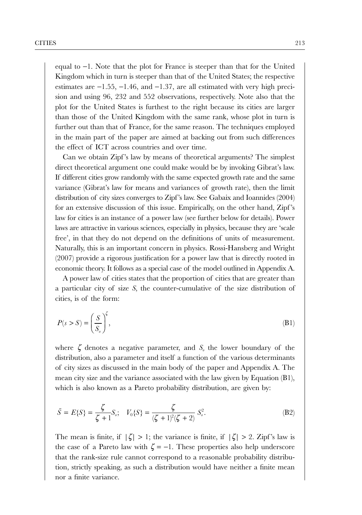equal to −1. Note that the plot for France is steeper than that for the United Kingdom which in turn is steeper than that of the United States; the respective estimates are −1.55, −1.46, and −1.37, are all estimated with very high precision and using 96, 232 and 552 observations, respectively. Note also that the plot for the United States is furthest to the right because its cities are larger than those of the United Kingdom with the same rank, whose plot in turn is further out than that of France, for the same reason. The techniques employed in the main part of the paper are aimed at backing out from such differences the effect of ICT across countries and over time.

Can we obtain Zipf 's law by means of theoretical arguments? The simplest direct theoretical argument one could make would be by invoking Gibrat's law. If different cities grow randomly with the same expected growth rate and the same variance (Gibrat's law for means and variances of growth rate), then the limit distribution of city sizes converges to Zipf 's law. See Gabaix and Ioannides (2004) for an extensive discussion of this issue. Empirically, on the other hand, Zipf 's law for cities is an instance of a power law (see further below for details). Power laws are attractive in various sciences, especially in physics, because they are 'scale free', in that they do not depend on the definitions of units of measurement. Naturally, this is an important concern in physics. Rossi-Hansberg and Wright (2007) provide a rigorous justification for a power law that is directly rooted in economic theory. It follows as a special case of the model outlined in Appendix A.

A power law of cities states that the proportion of cities that are greater than a particular city of size *S*, the counter-cumulative of the size distribution of cities, is of the form:

$$
P(s > S) = \left(\frac{S}{S_o}\right)^{\zeta},\tag{B1}
$$

where  $\zeta$  denotes a negative parameter, and  $S<sub>a</sub>$  the lower boundary of the distribution, also a parameter and itself a function of the various determinants of city sizes as discussed in the main body of the paper and Appendix A. The mean city size and the variance associated with the law given by Equation (B1), which is also known as a Pareto probability distribution, are given by:

$$
\bar{S} = E\{S\} = \frac{\zeta}{\zeta + 1} S_{\delta}; \quad V_0\{S\} = \frac{\zeta}{(\zeta + 1)^2 (\zeta + 2)} S_{\delta}^2.
$$
 (B2)

The mean is finite, if  $|\zeta| > 1$ ; the variance is finite, if  $|\zeta| > 2$ . Zipf's law is the case of a Pareto law with  $\zeta = -1$ . These properties also help underscore that the rank-size rule cannot correspond to a reasonable probability distribution, strictly speaking, as such a distribution would have neither a finite mean nor a finite variance.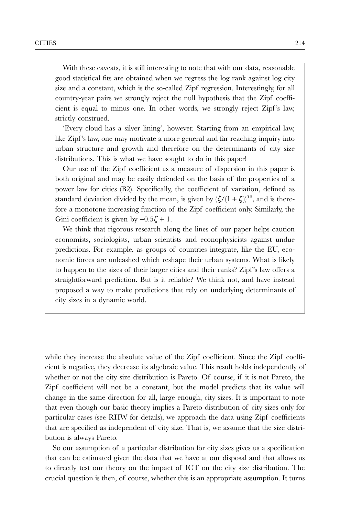With these caveats, it is still interesting to note that with our data, reasonable good statistical fits are obtained when we regress the log rank against log city size and a constant, which is the so-called Zipf regression. Interestingly, for all country-year pairs we strongly reject the null hypothesis that the Zipf coefficient is equal to minus one. In other words, we strongly reject Zipf's law, strictly construed.

'Every cloud has a silver lining', however. Starting from an empirical law, like Zipf's law, one may motivate a more general and far reaching inquiry into urban structure and growth and therefore on the determinants of city size distributions. This is what we have sought to do in this paper!

Our use of the Zipf coefficient as a measure of dispersion in this paper is both original and may be easily defended on the basis of the properties of a power law for cities (B2). Specifically, the coefficient of variation, defined as standard deviation divided by the mean, is given by  $(\zeta/(1+\zeta))^{0.5}$ , and is therefore a monotone increasing function of the Zipf coefficient only. Similarly, the Gini coefficient is given by  $-0.5\zeta + 1$ .

We think that rigorous research along the lines of our paper helps caution economists, sociologists, urban scientists and econophysicists against undue predictions. For example, as groups of countries integrate, like the EU, economic forces are unleashed which reshape their urban systems. What is likely to happen to the sizes of their larger cities and their ranks? Zipf 's law offers a straightforward prediction. But is it reliable? We think not, and have instead proposed a way to make predictions that rely on underlying determinants of city sizes in a dynamic world.

while they increase the absolute value of the Zipf coefficient. Since the Zipf coefficient is negative, they decrease its algebraic value. This result holds independently of whether or not the city size distribution is Pareto. Of course, if it is not Pareto, the Zipf coefficient will not be a constant, but the model predicts that its value will change in the same direction for all, large enough, city sizes. It is important to note that even though our basic theory implies a Pareto distribution of city sizes only for particular cases (see RHW for details), we approach the data using Zipf coefficients that are specified as independent of city size. That is, we assume that the size distribution is always Pareto.

So our assumption of a particular distribution for city sizes gives us a specification that can be estimated given the data that we have at our disposal and that allows us to directly test our theory on the impact of ICT on the city size distribution. The crucial question is then, of course, whether this is an appropriate assumption. It turns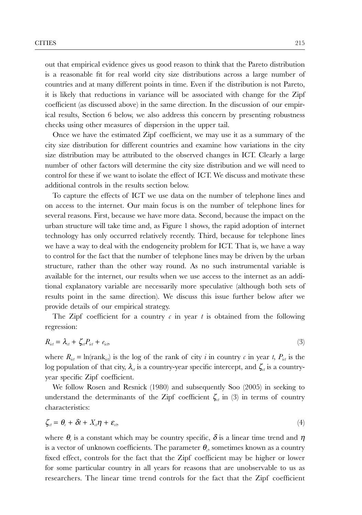out that empirical evidence gives us good reason to think that the Pareto distribution is a reasonable fit for real world city size distributions across a large number of countries and at many different points in time. Even if the distribution is not Pareto, it is likely that reductions in variance will be associated with change for the Zipf coefficient (as discussed above) in the same direction. In the discussion of our empirical results, Section 6 below, we also address this concern by presenting robustness checks using other measures of dispersion in the upper tail.

Once we have the estimated Zipf coefficient, we may use it as a summary of the city size distribution for different countries and examine how variations in the city size distribution may be attributed to the observed changes in ICT. Clearly a large number of other factors will determine the city size distribution and we will need to control for these if we want to isolate the effect of ICT. We discuss and motivate these additional controls in the results section below.

To capture the effects of ICT we use data on the number of telephone lines and on access to the internet. Our main focus is on the number of telephone lines for several reasons. First, because we have more data. Second, because the impact on the urban structure will take time and, as Figure 1 shows, the rapid adoption of internet technology has only occurred relatively recently. Third, because for telephone lines we have a way to deal with the endogeneity problem for ICT. That is, we have a way to control for the fact that the number of telephone lines may be driven by the urban structure, rather than the other way round. As no such instrumental variable is available for the internet, our results when we use access to the internet as an additional explanatory variable are necessarily more speculative (although both sets of results point in the same direction). We discuss this issue further below after we provide details of our empirical strategy.

The Zipf coefficient for a country  $\epsilon$  in year  $t$  is obtained from the following regression:

$$
R_{ict} = \lambda_{ct} + \zeta_{ct} P_{ict} + e_{ict}, \tag{3}
$$

where  $R_{id} = \ln(\text{rank}_{id})$  is the log of the rank of city *i* in country *c* in year *t*,  $P_{id}$  is the log population of that city,  $\lambda_d$  is a country-year specific intercept, and  $\zeta_d$  is a countryyear specific Zipf coefficient.

We follow Rosen and Resnick (1980) and subsequently Soo (2005) in seeking to understand the determinants of the Zipf coefficient  $\zeta_d$  in (3) in terms of country characteristics:

$$
\zeta_{\scriptscriptstyle ct} = \theta_{\scriptscriptstyle c} + \delta t + X_{\scriptscriptstyle ct} \eta + \varepsilon_{\scriptscriptstyle ct},\tag{4}
$$

where  $\theta_{\scriptscriptstyle \ell}$  is a constant which may be country specific,  $\delta$  is a linear time trend and  $\eta$ is a vector of unknown coefficients. The parameter  $\theta_{o}$  sometimes known as a country fixed effect, controls for the fact that the Zipf coefficient may be higher or lower for some particular country in all years for reasons that are unobservable to us as researchers. The linear time trend controls for the fact that the Zipf coefficient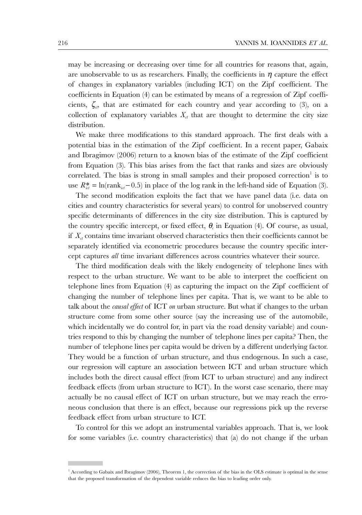may be increasing or decreasing over time for all countries for reasons that, again, are unobservable to us as researchers. Finally, the coefficients in  $\eta$  capture the effect of changes in explanatory variables (including ICT) on the Zipf coefficient. The coefficients in Equation (4) can be estimated by means of a regression of Zipf coefficients,  $\zeta_c$ , that are estimated for each country and year according to (3), on a collection of explanatory variables  $X_d$  that are thought to determine the city size distribution.

We make three modifications to this standard approach. The first deals with a potential bias in the estimation of the Zipf coefficient. In a recent paper, Gabaix and Ibragimov (2006) return to a known bias of the estimate of the Zipf coefficient from Equation (3). This bias arises from the fact that ranks and sizes are obviously correlated. The bias is strong in small samples and their proposed correction<sup>1</sup> is to use  $R_{\text{int}}^{*} = \ln(\text{rank}_{\text{int}} - 0.5)$  in place of the log rank in the left-hand side of Equation (3).

The second modification exploits the fact that we have panel data (i.e. data on cities and country characteristics for several years) to control for unobserved country specific determinants of differences in the city size distribution. This is captured by the country specific intercept, or fixed effect,  $\theta_c$  in Equation (4). Of course, as usual, if  $X_d$  contains time invariant observed characteristics then their coefficients cannot be separately identified via econometric procedures because the country specific intercept captures *all* time invariant differences across countries whatever their source.

The third modification deals with the likely endogeneity of telephone lines with respect to the urban structure. We want to be able to interpret the coefficient on telephone lines from Equation (4) as capturing the impact on the Zipf coefficient of changing the number of telephone lines per capita. That is, we want to be able to talk about the *causal effect* of ICT *on* urban structure. But what if changes to the urban structure come from some other source (say the increasing use of the automobile, which incidentally we do control for, in part via the road density variable) and countries respond to this by changing the number of telephone lines per capita? Then, the number of telephone lines per capita would be driven by a different underlying factor. They would be a function of urban structure, and thus endogenous. In such a case, our regression will capture an association between ICT and urban structure which includes both the direct causal effect (from ICT to urban structure) and any indirect feedback effects (from urban structure to ICT). In the worst case scenario, there may actually be no causal effect of ICT on urban structure, but we may reach the erroneous conclusion that there is an effect, because our regressions pick up the reverse feedback effect from urban structure to ICT.

To control for this we adopt an instrumental variables approach. That is, we look for some variables (i.e. country characteristics) that (a) do not change if the urban

<sup>&</sup>lt;sup>1</sup> According to Gabaix and Ibragimov (2006), Theorem 1, the correction of the bias in the OLS estimate is optimal in the sense that the proposed transformation of the dependent variable reduces the bias to leading order only.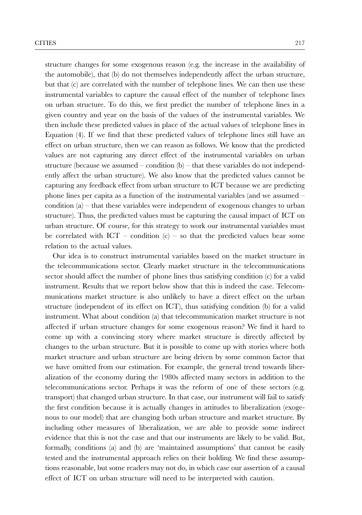structure changes for some exogenous reason (e.g. the increase in the availability of the automobile), that (b) do not themselves independently affect the urban structure, but that (c) are correlated with the number of telephone lines. We can then use these instrumental variables to capture the causal effect of the number of telephone lines on urban structure. To do this, we first predict the number of telephone lines in a given country and year on the basis of the values of the instrumental variables. We then include these predicted values in place of the actual values of telephone lines in Equation (4). If we find that these predicted values of telephone lines still have an effect on urban structure, then we can reason as follows. We know that the predicted values are not capturing any direct effect of the instrumental variables on urban structure (because we assumed  $-$  condition  $(b)$  – that these variables do not independently affect the urban structure). We also know that the predicted values cannot be capturing any feedback effect from urban structure to ICT because we are predicting phone lines per capita as a function of the instrumental variables (and we assumed – condition  $(a)$  – that these variables were independent of exogenous changes to urban structure). Thus, the predicted values must be capturing the causal impact of ICT on urban structure. Of course, for this strategy to work our instrumental variables must be correlated with  $ICT$  – condition  $(c)$  – so that the predicted values bear some relation to the actual values.

Our idea is to construct instrumental variables based on the market structure in the telecommunications sector. Clearly market structure in the telecommunications sector should affect the number of phone lines thus satisfying condition (c) for a valid instrument. Results that we report below show that this is indeed the case. Telecommunications market structure is also unlikely to have a direct effect on the urban structure (independent of its effect on ICT), thus satisfying condition (b) for a valid instrument. What about condition (a) that telecommunication market structure is not affected if urban structure changes for some exogenous reason? We find it hard to come up with a convincing story where market structure is directly affected by changes to the urban structure. But it is possible to come up with stories where both market structure and urban structure are being driven by some common factor that we have omitted from our estimation. For example, the general trend towards liberalization of the economy during the 1980s affected many sectors in addition to the telecommunications sector. Perhaps it was the reform of one of these sectors (e.g. transport) that changed urban structure. In that case, our instrument will fail to satisfy the first condition because it is actually changes in attitudes to liberalization (exogenous to our model) that are changing both urban structure and market structure. By including other measures of liberalization, we are able to provide some indirect evidence that this is not the case and that our instruments are likely to be valid. But, formally, conditions (a) and (b) are 'maintained assumptions' that cannot be easily tested and the instrumental approach relies on their holding. We find these assumptions reasonable, but some readers may not do, in which case our assertion of a causal effect of ICT on urban structure will need to be interpreted with caution.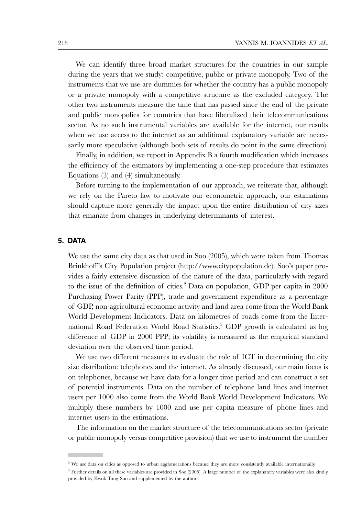We can identify three broad market structures for the countries in our sample during the years that we study: competitive, public or private monopoly. Two of the instruments that we use are dummies for whether the country has a public monopoly or a private monopoly with a competitive structure as the excluded category. The other two instruments measure the time that has passed since the end of the private and public monopolies for countries that have liberalized their telecommunications sector. As no such instrumental variables are available for the internet, our results when we use access to the internet as an additional explanatory variable are necessarily more speculative (although both sets of results do point in the same direction).

Finally, in addition, we report in Appendix B a fourth modification which increases the efficiency of the estimators by implementing a one-step procedure that estimates Equations (3) and (4) simultaneously.

Before turning to the implementation of our approach, we reiterate that, although we rely on the Pareto law to motivate our econometric approach, our estimations should capture more generally the impact upon the entire distribution of city sizes that emanate from changes in underlying determinants of interest.

#### **5. DATA**

We use the same city data as that used in Soo (2005), which were taken from Thomas Brinkhoff 's City Population project [\(http://www.citypopulation.de\).](http://www.citypopulation.de) Soo's paper provides a fairly extensive discussion of the nature of the data, particularly with regard to the issue of the definition of cities.<sup>2</sup> Data on population, GDP per capita in 2000 Purchasing Power Parity (PPP), trade and government expenditure as a percentage of GDP, non-agricultural economic activity and land area come from the World Bank World Development Indicators. Data on kilometres of roads come from the International Road Federation World Road Statistics.<sup>3</sup> GDP growth is calculated as log difference of GDP in 2000 PPP; its volatility is measured as the empirical standard deviation over the observed time period.

We use two different measures to evaluate the role of ICT in determining the city size distribution: telephones and the internet. As already discussed, our main focus is on telephones, because we have data for a longer time period and can construct a set of potential instruments. Data on the number of telephone land lines and internet users per 1000 also come from the World Bank World Development Indicators. We multiply these numbers by 1000 and use per capita measure of phone lines and internet users in the estimations.

The information on the market structure of the telecommunications sector (private or public monopoly versus competitive provision) that we use to instrument the number

<sup>&</sup>lt;sup>2</sup> We use data on cities as opposed to urban agglomerations because they are more consistently available internationally.

<sup>&</sup>lt;sup>3</sup> Further details on all these variables are provided in Soo (2005). A large number of the explanatory variables were also kindly provided by Kwok Tong Soo and supplemented by the authors.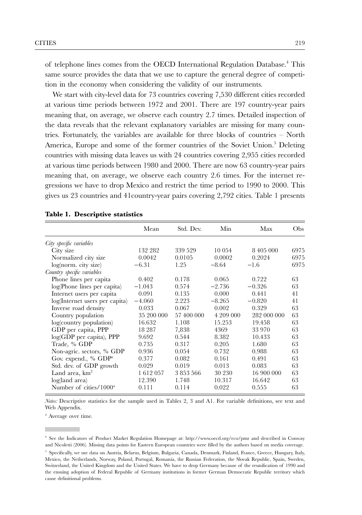of telephone lines comes from the OECD International Regulation Database.<sup>4</sup> This same source provides the data that we use to capture the general degree of competition in the economy when considering the validity of our instruments.

We start with city-level data for 73 countries covering 7,530 different cities recorded at various time periods between 1972 and 2001. There are 197 country-year pairs meaning that, on average, we observe each country 2.7 times. Detailed inspection of the data reveals that the relevant explanatory variables are missing for many countries. Fortunately, the variables are available for three blocks of countries – North America, Europe and some of the former countries of the Soviet Union.<sup>5</sup> Deleting countries with missing data leaves us with 24 countries covering 2,955 cities recorded at various time periods between 1980 and 2000. There are now 63 country-year pairs meaning that, on average, we observe each country 2.6 times. For the internet regressions we have to drop Mexico and restrict the time period to 1990 to 2000. This gives us 23 countries and 41country-year pairs covering 2,792 cities. Table 1 presents

|                                | Mean       | Std. Dev.  | Min       | Max         | Obs  |
|--------------------------------|------------|------------|-----------|-------------|------|
| City specific variables        |            |            |           |             |      |
| City size                      | 132 282    | 339 529    | 10 0 54   | 8 405 000   | 6975 |
| Normalized city size           | 0.0042     | 0.0105     | 0.0002    | 0.2024      | 6975 |
| log(norm. city size)           | $-6.31$    | 1.25       | $-8.64$   | $-1.6$      | 6975 |
| Country specific variables     |            |            |           |             |      |
| Phone lines per capita         | 0.402      | 0.178      | 0.065     | 0.722       | 63   |
| log(Phone lines per capita)    | $-1.043$   | 0.574      | $-2.736$  | $-0.326$    | 63   |
| Internet users per capita      | 0.091      | 0.135      | 0.000     | 0.441       | 41   |
| log(Internet users per capita) | $-4.060$   | 2.223      | $-8.265$  | $-0.820$    | 41   |
| Inverse road density           | 0.033      | 0.067      | 0.002     | 0.329       | 63   |
| Country population             | 35 200 000 | 57 400 000 | 4 209 000 | 282 000 000 | 63   |
| log(country population)        | 16.632     | 1.108      | 15.253    | 19.458      | 63   |
| GDP per capita, PPP            | 18 287     | 7,838      | 4369      | 33 970      | 63   |
| $log(GDP$ per capita), PPP     | 9.692      | 0.544      | 8.382     | 10.433      | 63   |
| Trade, % GDP                   | 0.735      | 0.317      | 0.205     | 1.680       | 63   |
| Non-agric. sectors, % GDP      | 0.936      | 0.054      | 0.732     | 0.988       | 63   |
| Gov. expend., % $GDPa$         | 0.377      | 0.082      | 0.161     | 0.491       | 63   |
| Std. dev. of GDP growth        | 0.029      | 0.019      | 0.013     | 0.083       | 63   |
| Land area, km <sup>2</sup>     | 1612057    | 3853566    | 30 230    | 16 900 000  | 63   |
| log(land area)                 | 12.390     | 1.748      | 10.317    | 16.642      | 63   |
| Number of cities/ $1000^a$     | 0.111      | 0.114      | 0.022     | 0.555       | 63   |

#### **Table 1. Descriptive statistics**

*Notes:* Descriptive statistics for the sample used in Tables 2, 3 and A1. For variable definitions, see text and Web Appendix.

a Average over time.

<sup>4</sup> See the Indicators of Product Market Regulation Homepage at: <http://www.oecd.org/eco/pmr>and described in Conway and Nicoletti (2006). Missing data points for Eastern European countries were filled by the authors based on media coverage.

<sup>&</sup>lt;sup>5</sup> Specifically, we use data on Austria, Belarus, Belgium, Bulgaria, Canada, Denmark, Finland, France, Greece, Hungary, Italy, Mexico, the Netherlands, Norway, Poland, Portugal, Romania, the Russian Federation, the Slovak Republic, Spain, Sweden, Switzerland, the United Kingdom and the United States. We have to drop Germany because of the reunification of 1990 and the ensuing adoption of Federal Republic of Germany institutions in former German Democratic Republic territory which cause definitional problems.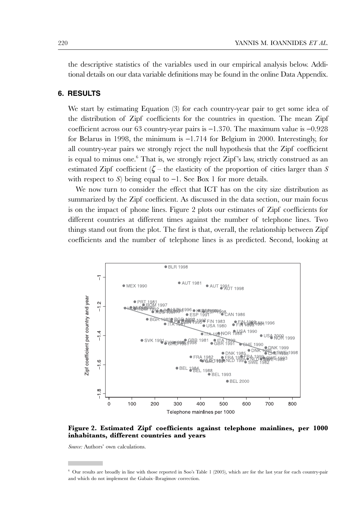the descriptive statistics of the variables used in our empirical analysis below. Additional details on our data variable definitions may be found in the online Data Appendix.

#### **6. RESULTS**

We start by estimating Equation (3) for each country-year pair to get some idea of the distribution of Zipf coefficients for the countries in question. The mean Zipf coefficient across our 63 country-year pairs is −1.370. The maximum value is −0.928 for Belarus in 1998, the minimum is −1.714 for Belgium in 2000. Interestingly, for all country-year pairs we strongly reject the null hypothesis that the Zipf coefficient is equal to minus one.<sup>6</sup> That is, we strongly reject Zipf's law, strictly construed as an estimated Zipf coefficient  $(\zeta -$  the elasticity of the proportion of cities larger than *S* with respect to *S*) being equal to −1. See Box 1 for more details.

We now turn to consider the effect that ICT has on the city size distribution as summarized by the Zipf coefficient. As discussed in the data section, our main focus is on the impact of phone lines. Figure 2 plots our estimates of Zipf coefficients for different countries at different times against the number of telephone lines. Two things stand out from the plot. The first is that, overall, the relationship between Zipf coefficients and the number of telephone lines is as predicted. Second, looking at



**Figure 2. Estimated Zipf coefficients against telephone mainlines, per 1000 inhabitants, different countries and years**

*Source:* Authors' own calculations.

<sup>6</sup> Our results are broadly in line with those reported in Soo's Table 1 (2005), which are for the last year for each country-pair and which do not implement the Gabaix–Ibragimov correction.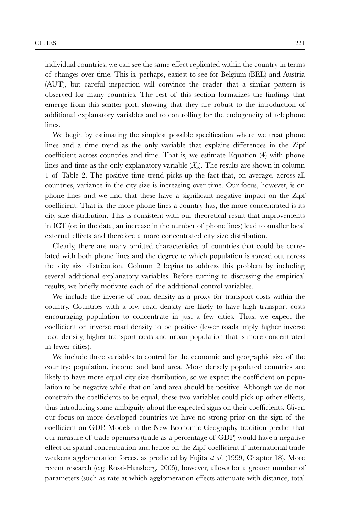individual countries, we can see the same effect replicated within the country in terms of changes over time. This is, perhaps, easiest to see for Belgium (BEL) and Austria (AUT), but careful inspection will convince the reader that a similar pattern is observed for many countries. The rest of this section formalizes the findings that emerge from this scatter plot, showing that they are robust to the introduction of additional explanatory variables and to controlling for the endogeneity of telephone lines.

We begin by estimating the simplest possible specification where we treat phone lines and a time trend as the only variable that explains differences in the Zipf coefficient across countries and time. That is, we estimate Equation (4) with phone lines and time as the only explanatory variable  $(X_{cl})$ . The results are shown in column 1 of Table 2. The positive time trend picks up the fact that, on average, across all countries, variance in the city size is increasing over time. Our focus, however, is on phone lines and we find that these have a significant negative impact on the Zipf coefficient. That is, the more phone lines a country has, the more concentrated is its city size distribution. This is consistent with our theoretical result that improvements in ICT (or, in the data, an increase in the number of phone lines) lead to smaller local external effects and therefore a more concentrated city size distribution.

Clearly, there are many omitted characteristics of countries that could be correlated with both phone lines and the degree to which population is spread out across the city size distribution. Column 2 begins to address this problem by including several additional explanatory variables. Before turning to discussing the empirical results, we briefly motivate each of the additional control variables.

We include the inverse of road density as a proxy for transport costs within the country. Countries with a low road density are likely to have high transport costs encouraging population to concentrate in just a few cities. Thus, we expect the coefficient on inverse road density to be positive (fewer roads imply higher inverse road density, higher transport costs and urban population that is more concentrated in fewer cities).

We include three variables to control for the economic and geographic size of the country: population, income and land area. More densely populated countries are likely to have more equal city size distribution, so we expect the coefficient on population to be negative while that on land area should be positive. Although we do not constrain the coefficients to be equal, these two variables could pick up other effects, thus introducing some ambiguity about the expected signs on their coefficients. Given our focus on more developed countries we have no strong prior on the sign of the coefficient on GDP. Models in the New Economic Geography tradition predict that our measure of trade openness (trade as a percentage of GDP) would have a negative effect on spatial concentration and hence on the Zipf coefficient if international trade weakens agglomeration forces, as predicted by Fujita *et al.* (1999, Chapter 18). More recent research (e.g. Rossi-Hansberg, 2005), however, allows for a greater number of parameters (such as rate at which agglomeration effects attenuate with distance, total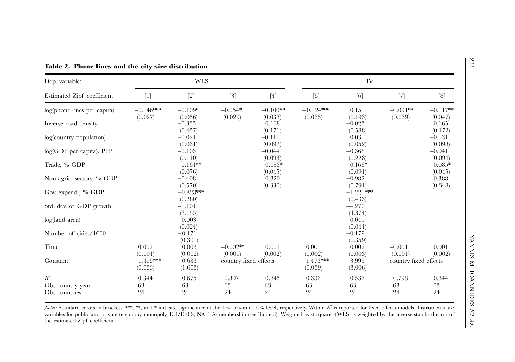| Dep. variable:<br>Estimated Zipf coefficient |                                   | <b>WLS</b>                   |                                  | IV                    |                                   |                                 |                                  |                       |
|----------------------------------------------|-----------------------------------|------------------------------|----------------------------------|-----------------------|-----------------------------------|---------------------------------|----------------------------------|-----------------------|
|                                              | $[1]$                             | $[2]$                        | $[3]$                            | $[4]$                 | $[5]$                             | [6]                             | $[7]$                            | [8]                   |
| log(phone lines per capita)                  | $-0.146***$<br>(0.027)            | $-0.109*$<br>(0.056)         | $-0.054*$<br>(0.029)             | $-0.100**$<br>(0.038) | $-0.124***$<br>(0.035)            | 0.151<br>(0.193)                | $-0.091**$<br>(0.039)            | $-0.117**$<br>(0.047) |
| Inverse road density                         |                                   | $-0.335$<br>(0.457)          |                                  | 0.168<br>(0.171)      |                                   | $-0.023$<br>(0.588)             |                                  | 0.165<br>(0.172)      |
| log(country population)                      |                                   | $-0.021$<br>(0.031)          |                                  | $-0.111$<br>(0.092)   |                                   | 0.031<br>(0.052)                |                                  | $-0.131$<br>(0.098)   |
| $log(GDP$ per capita), PPP                   |                                   | $-0.103$<br>(0.110)          |                                  | $-0.044$<br>(0.093)   |                                   | $-0.368$<br>(0.228)             |                                  | $-0.041$<br>(0.094)   |
| Trade, % GDP                                 |                                   | $-0.161**$<br>(0.076)        |                                  | $0.083*$<br>(0.045)   |                                   | $-0.166*$<br>(0.091)            |                                  | $0.085*$<br>(0.045)   |
| Non-agric. sectors, % GDP                    |                                   | $-0.408$<br>(0.570)          |                                  | 0.320<br>(0.330)      |                                   | $-0.982$<br>(0.791)             |                                  | 0.388<br>(0.348)      |
| Gov. expend., % GDP                          |                                   | $-0.828***$<br>(0.280)       |                                  |                       |                                   | $-1.221***$<br>(0.433)          |                                  |                       |
| Std. dev. of GDP growth                      |                                   | $-1.101$<br>(3.155)          |                                  |                       |                                   | $-4.270$<br>(4.374)<br>$-0.041$ |                                  |                       |
| log(land area)<br>Number of cities/1000      |                                   | 0.003<br>(0.024)<br>$-0.171$ |                                  |                       |                                   | (0.041)<br>$-0.179$             |                                  |                       |
| Time                                         | 0.002                             | (0.301)<br>0.003             | $-0.002**$                       | 0.001                 | 0.001                             | (0.359)<br>0.002                | $-0.001$                         | 0.001                 |
| Constant                                     | (0.001)<br>$-1.495***$<br>(0.033) | (0.002)<br>0.683<br>(1.603)  | (0.001)<br>country fixed effects | (0.002)               | (0.002)<br>$-1.473***$<br>(0.039) | (0.003)<br>3.995<br>(3.006)     | (0.001)<br>country fixed effects | (0.002)               |
| $R^2$                                        | 0.344                             | 0.675                        | 0.807                            | 0.845                 | 0.336                             | 0.537                           | 0.798                            | 0.844                 |
| Obs country-year<br>Obs countries            | 63<br>24                          | 63<br>24                     | 63<br>24                         | 63<br>24              | 63<br>24                          | 63<br>24                        | 63<br>24                         | 63<br>24              |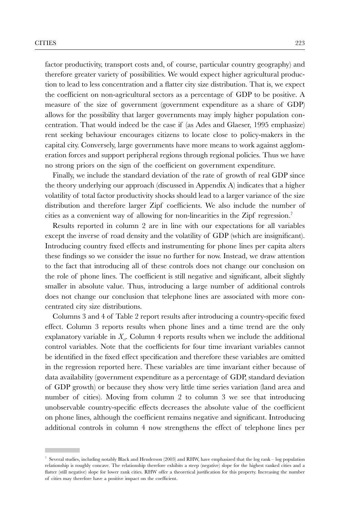factor productivity, transport costs and, of course, particular country geography) and therefore greater variety of possibilities. We would expect higher agricultural production to lead to less concentration and a flatter city size distribution. That is, we expect the coefficient on non-agricultural sectors as a percentage of GDP to be positive. A measure of the size of government (government expenditure as a share of GDP) allows for the possibility that larger governments may imply higher population concentration. That would indeed be the case if (as Ades and Glaeser, 1995 emphasize) rent seeking behaviour encourages citizens to locate close to policy-makers in the capital city. Conversely, large governments have more means to work against agglomeration forces and support peripheral regions through regional policies. Thus we have no strong priors on the sign of the coefficient on government expenditure.

Finally, we include the standard deviation of the rate of growth of real GDP since the theory underlying our approach (discussed in Appendix A) indicates that a higher volatility of total factor productivity shocks should lead to a larger variance of the size distribution and therefore larger Zipf coefficients. We also include the number of cities as a convenient way of allowing for non-linearities in the Zipf regression.<sup>7</sup>

Results reported in column 2 are in line with our expectations for all variables except the inverse of road density and the volatility of GDP (which are insignificant). Introducing country fixed effects and instrumenting for phone lines per capita alters these findings so we consider the issue no further for now. Instead, we draw attention to the fact that introducing all of these controls does not change our conclusion on the role of phone lines. The coefficient is still negative and significant, albeit slightly smaller in absolute value. Thus, introducing a large number of additional controls does not change our conclusion that telephone lines are associated with more concentrated city size distributions.

Columns 3 and 4 of Table 2 report results after introducing a country-specific fixed effect. Column 3 reports results when phone lines and a time trend are the only explanatory variable in  $X_{\alpha}$ . Column 4 reports results when we include the additional control variables. Note that the coefficients for four time invariant variables cannot be identified in the fixed effect specification and therefore these variables are omitted in the regression reported here. These variables are time invariant either because of data availability (government expenditure as a percentage of GDP, standard deviation of GDP growth) or because they show very little time series variation (land area and number of cities). Moving from column 2 to column 3 we see that introducing unobservable country-specific effects decreases the absolute value of the coefficient on phone lines, although the coefficient remains negative and significant. Introducing additional controls in column 4 now strengthens the effect of telephone lines per

 $^7\,$  Several studies, including notably Black and Henderson (2003) and RHW, have emphasized that the log rank – log population relationship is roughly concave. The relationship therefore exhibits a steep (negative) slope for the highest ranked cities and a flatter (still negative) slope for lower rank cities. RHW offer a theoretical justification for this property. Increasing the number of cities may therefore have a positive impact on the coefficient.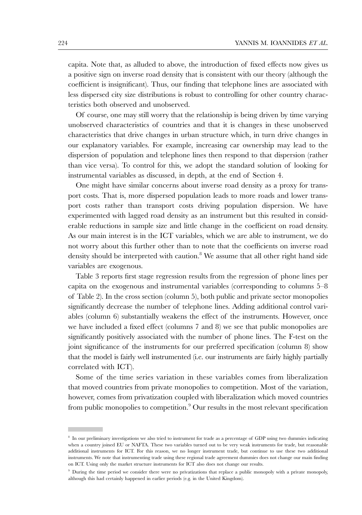capita. Note that, as alluded to above, the introduction of fixed effects now gives us a positive sign on inverse road density that is consistent with our theory (although the coefficient is insignificant). Thus, our finding that telephone lines are associated with less dispersed city size distributions is robust to controlling for other country characteristics both observed and unobserved.

Of course, one may still worry that the relationship is being driven by time varying unobserved characteristics of countries and that it is changes in these unobserved characteristics that drive changes in urban structure which, in turn drive changes in our explanatory variables. For example, increasing car ownership may lead to the dispersion of population and telephone lines then respond to that dispersion (rather than vice versa). To control for this, we adopt the standard solution of looking for instrumental variables as discussed, in depth, at the end of Section 4.

One might have similar concerns about inverse road density as a proxy for transport costs. That is, more dispersed population leads to more roads and lower transport costs rather than transport costs driving population dispersion. We have experimented with lagged road density as an instrument but this resulted in considerable reductions in sample size and little change in the coefficient on road density. As our main interest is in the ICT variables, which we are able to instrument, we do not worry about this further other than to note that the coefficients on inverse road density should be interpreted with caution.<sup>8</sup> We assume that all other right hand side variables are exogenous.

Table 3 reports first stage regression results from the regression of phone lines per capita on the exogenous and instrumental variables (corresponding to columns 5–8 of Table 2). In the cross section (column 5), both public and private sector monopolies significantly decrease the number of telephone lines. Adding additional control variables (column 6) substantially weakens the effect of the instruments. However, once we have included a fixed effect (columns 7 and 8) we see that public monopolies are significantly positively associated with the number of phone lines. The F-test on the joint significance of the instruments for our preferred specification (column 8) show that the model is fairly well instrumented (i.e. our instruments are fairly highly partially correlated with ICT).

Some of the time series variation in these variables comes from liberalization that moved countries from private monopolies to competition. Most of the variation, however, comes from privatization coupled with liberalization which moved countries from public monopolies to competition.<sup>9</sup> Our results in the most relevant specification

<sup>&</sup>lt;sup>8</sup> In our preliminary investigations we also tried to instrument for trade as a percentage of GDP using two dummies indicating when a country joined EU or NAFTA. These two variables turned out to be very weak instruments for trade, but reasonable additional instruments for ICT. For this reason, we no longer instrument trade, but continue to use these two additional instruments. We note that instrumenting trade using these regional trade agreement dummies does not change our main finding on ICT. Using only the market structure instruments for ICT also does not change our results.

<sup>9</sup> During the time period we consider there were no privatizations that replace a public monopoly with a private monopoly, although this had certainly happened in earlier periods (e.g. in the United Kingdom).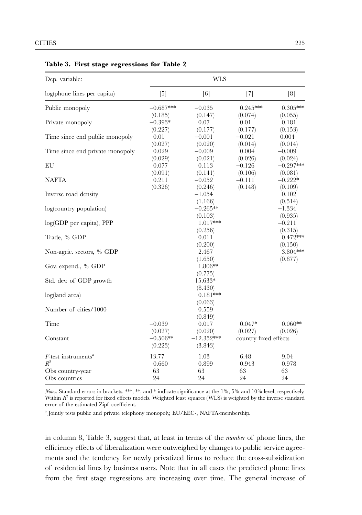| Dep. variable:                              |                       | <b>WLS</b>              |                       |             |
|---------------------------------------------|-----------------------|-------------------------|-----------------------|-------------|
| log(phone lines per capita)                 | $[5]$                 | [6]                     | $[7]$                 | [8]         |
| Public monopoly                             | $-0.687***$           | $-0.035$                | $0.245***$            | $0.305***$  |
|                                             | (0.185)               | (0.147)                 | (0.074)               | (0.055)     |
| Private monopoly                            | $-0.393*$             | 0.07                    | 0.01                  | 0.181       |
|                                             | (0.227)               | (0.177)                 | (0.177)               | (0.153)     |
| Time since end public monopoly              | 0.01                  | $-0.001$                | $-0.021$              | 0.004       |
|                                             | (0.027)               | (0.020)                 | (0.014)               | (0.014)     |
| Time since end private monopoly             | 0.029                 | $-0.009$                | 0.004                 | $-0.009$    |
|                                             | (0.029)               | (0.021)                 | (0.026)               | (0.024)     |
| EU                                          | 0.077                 | 0.113                   | $-0.126$              | $-0.297***$ |
|                                             | (0.091)               | (0.141)                 | (0.106)               | (0.081)     |
| <b>NAFTA</b>                                | 0.211                 | $-0.052$                | $-0.111$              | $-0.222*$   |
|                                             | (0.326)               | (0.246)                 | (0.148)               | (0.109)     |
| Inverse road density                        |                       | $-1.054$                |                       | 0.102       |
|                                             |                       | (1.166)                 |                       | (0.514)     |
| log(country population)                     |                       | $-0.265**$              |                       | $-1.334$    |
|                                             |                       | (0.103)                 |                       | (0.935)     |
| $log(GDP$ per capita), PPP                  |                       | $1.017***$              |                       | $-0.211$    |
|                                             |                       | (0.256)                 |                       | (0.315)     |
| Trade, % GDP                                |                       | 0.011                   |                       | 0.472***    |
|                                             |                       | (0.200)                 |                       | (0.150)     |
| Non-agric. sectors, % GDP                   |                       | 2.467                   |                       | 3.804***    |
|                                             |                       | (1.650)                 |                       | (0.877)     |
| Gov. expend., % GDP                         |                       | 1.806**                 |                       |             |
|                                             |                       | (0.775)                 |                       |             |
| Std. dev. of GDP growth                     |                       | 15.633*                 |                       |             |
|                                             |                       | (8.430)                 |                       |             |
| log(land area)                              |                       | $0.181***$              |                       |             |
|                                             |                       | (0.063)                 |                       |             |
| Number of cities/1000                       |                       | 0.559                   |                       |             |
|                                             |                       |                         |                       |             |
| Time                                        | $-0.039$              | (0.849)<br>0.017        | $0.047*$              | $0.060**$   |
|                                             |                       |                         |                       |             |
|                                             | (0.027)<br>$-0.506**$ | (0.020)<br>$-12.352***$ | (0.027)               | (0.026)     |
| Constant                                    | (0.223)               | (3.843)                 | country fixed effects |             |
|                                             |                       |                         |                       |             |
| $F$ -test instruments <sup>a</sup><br>$R^2$ | 13.77                 | 1.03                    | 6.48                  | 9.04        |
|                                             | 0.660                 | 0.899                   | 0.943                 | 0.978       |
| Obs country-year                            | 63                    | 63                      | 63                    | 63          |
| Obs countries                               | 24                    | 24                      | 24                    | 24          |

**Table 3. First stage regressions for Table 2**

*Notes:* Standard errors in brackets. \*\*\*, \*\*, and \* indicate significance at the 1%, 5% and 10% level, respectively. Within  $R^2$  is reported for fixed effects models. Weighted least squares (WLS) is weighted by the inverse standard error of the estimated Zipf coefficient.

<sup>a</sup> Jointly tests public and private telephony monopoly, EU/EEC-, NAFTA-membership.

in column 8, Table 3, suggest that, at least in terms of the *number* of phone lines, the efficiency effects of liberalization were outweighed by changes to public service agreements and the tendency for newly privatized firms to reduce the cross-subsidization of residential lines by business users. Note that in all cases the predicted phone lines from the first stage regressions are increasing over time. The general increase of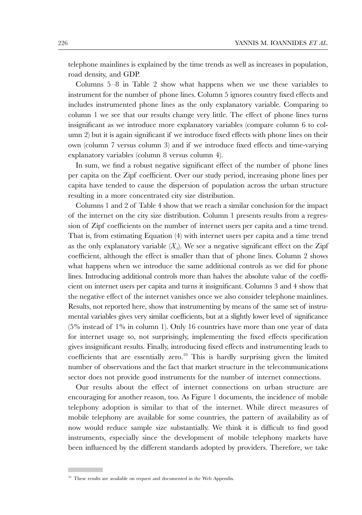telephone mainlines is explained by the time trends as well as increases in population, road density, and GDP.

Columns 5–8 in Table 2 show what happens when we use these variables to instrument for the number of phone lines. Column 5 ignores country fixed effects and includes instrumented phone lines as the only explanatory variable. Comparing to column 1 we see that our results change very little. The effect of phone lines turns insignificant as we introduce more explanatory variables (compare column 6 to column 2) but it is again significant if we introduce fixed effects with phone lines on their own (column 7 versus column 3) and if we introduce fixed effects and time-varying explanatory variables (column 8 versus column 4).

In sum, we find a robust negative significant effect of the number of phone lines per capita on the Zipf coefficient. Over our study period, increasing phone lines per capita have tended to cause the dispersion of population across the urban structure resulting in a more concentrated city size distribution.

Columns 1 and 2 of Table 4 show that we reach a similar conclusion for the impact of the internet on the city size distribution. Column 1 presents results from a regression of Zipf coefficients on the number of internet users per capita and a time trend. That is, from estimating Equation (4) with internet users per capita and a time trend as the only explanatory variable  $(X_d)$ . We see a negative significant effect on the Zipf coefficient, although the effect is smaller than that of phone lines. Column 2 shows what happens when we introduce the same additional controls as we did for phone lines. Introducing additional controls more than halves the absolute value of the coefficient on internet users per capita and turns it insignificant. Columns 3 and 4 show that the negative effect of the internet vanishes once we also consider telephone mainlines. Results, not reported here, show that instrumenting by means of the same set of instrumental variables gives very similar coefficients, but at a slightly lower level of significance (5% instead of 1% in column 1). Only 16 countries have more than one year of data for internet usage so, not surprisingly, implementing the fixed effects specification gives insignificant results. Finally, introducing fixed effects and instrumenting leads to coefficients that are essentially zero.<sup>10</sup> This is hardly surprising given the limited number of observations and the fact that market structure in the telecommunications sector does not provide good instruments for the number of internet connections.

Our results about the effect of internet connections on urban structure are encouraging for another reason, too. As Figure 1 documents, the incidence of mobile telephony adoption is similar to that of the internet. While direct measures of mobile telephony are available for some countries, the pattern of availability as of now would reduce sample size substantially. We think it is difficult to find good instruments, especially since the development of mobile telephony markets have been influenced by the different standards adopted by providers. Therefore, we take

<sup>&</sup>lt;sup>10</sup> These results are available on request and documented in the Web Appendix.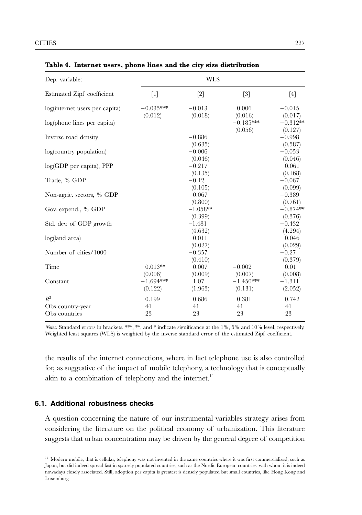| Dep. variable:                 |                        |                       |                        |                       |
|--------------------------------|------------------------|-----------------------|------------------------|-----------------------|
| Estimated Zipf coefficient     | $[1]$                  | $[2]$                 | $[3]$                  | $[4]$                 |
| log(internet users per capita) | $-0.035***$<br>(0.012) | $-0.013$<br>(0.018)   | 0.006<br>(0.016)       | $-0.015$<br>(0.017)   |
| log(phone lines per capita)    |                        |                       | $-0.185***$<br>(0.056) | $-0.312**$<br>(0.127) |
| Inverse road density           |                        | $-0.886$<br>(0.635)   |                        | $-0.998$<br>(0.587)   |
| log(country population)        |                        | $-0.006$<br>(0.046)   |                        | $-0.053$<br>(0.046)   |
| $log(GDP$ per capita), PPP     |                        | $-0.217$<br>(0.135)   |                        | 0.061<br>(0.168)      |
| Trade, % GDP                   |                        | $-0.12$<br>(0.105)    |                        | $-0.067$<br>(0.099)   |
| Non-agric. sectors, % GDP      |                        | 0.067<br>(0.800)      |                        | $-0.389$<br>(0.761)   |
| Gov. expend., % GDP            |                        | $-1.058**$<br>(0.399) |                        | $-0.874**$<br>(0.376) |
| Std. dev. of GDP growth        |                        | $-1.481$<br>(4.632)   |                        | $-0.432$<br>(4.294)   |
| log(land area)                 |                        | 0.011<br>(0.027)      |                        | 0.046<br>(0.029)      |
| Number of cities/1000          |                        | $-0.357$<br>(0.410)   |                        | $-0.27$<br>(0.379)    |
| Time                           | $0.013**$<br>(0.006)   | 0.007<br>(0.009)      | $-0.002$<br>(0.007)    | 0.01<br>(0.008)       |
| Constant                       | $-1.694***$<br>(0.122) | 1.07<br>(1.963)       | $-1.450***$<br>(0.131) | $-1.311$<br>(2.052)   |
| $R^2$                          | 0.199                  | 0.686                 | 0.381                  | 0.742                 |
| Obs country-year               | 41                     | 41                    | 41                     | 41                    |
| Obs countries                  | 23                     | 23                    | 23                     | 23                    |

**Table 4. Internet users, phone lines and the city size distribution**

*Notes:* Standard errors in brackets. \*\*\*, \*\*, and \* indicate significance at the 1%, 5% and 10% level, respectively. Weighted least squares (WLS) is weighted by the inverse standard error of the estimated Zipf coefficient.

the results of the internet connections, where in fact telephone use is also controlled for, as suggestive of the impact of mobile telephony, a technology that is conceptually akin to a combination of telephony and the internet. $^{11}$ 

#### **6.1. Additional robustness checks**

A question concerning the nature of our instrumental variables strategy arises from considering the literature on the political economy of urbanization. This literature suggests that urban concentration may be driven by the general degree of competition

<sup>11</sup> Modern mobile, that is cellular, telephony was not invented in the same countries where it was first commercialized, such as Japan, but did indeed spread fast in sparsely populated countries, such as the Nordic European countries, with whom it is indeed nowadays closely associated. Still, adoption per capita is greatest is densely populated but small countries, like Hong Kong and Luxemburg.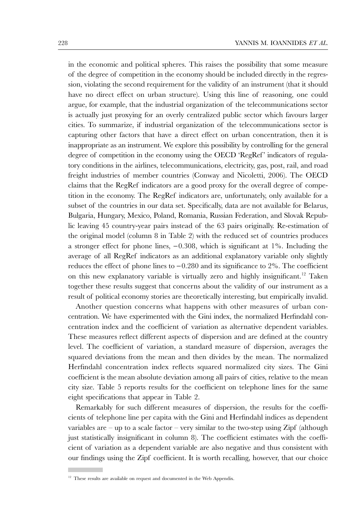in the economic and political spheres. This raises the possibility that some measure of the degree of competition in the economy should be included directly in the regression, violating the second requirement for the validity of an instrument (that it should have no direct effect on urban structure). Using this line of reasoning, one could argue, for example, that the industrial organization of the telecommunications sector is actually just proxying for an overly centralized public sector which favours larger cities. To summarize, if industrial organization of the telecommunications sector is capturing other factors that have a direct effect on urban concentration, then it is inappropriate as an instrument. We explore this possibility by controlling for the general degree of competition in the economy using the OECD 'RegRef' indicators of regulatory conditions in the airlines, telecommunications, electricity, gas, post, rail, and road freight industries of member countries (Conway and Nicoletti, 2006). The OECD claims that the RegRef indicators are a good proxy for the overall degree of competition in the economy. The RegRef indicators are, unfortunately, only available for a subset of the countries in our data set. Specifically, data are not available for Belarus, Bulgaria, Hungary, Mexico, Poland, Romania, Russian Federation, and Slovak Republic leaving 45 country-year pairs instead of the 63 pairs originally. Re-estimation of the original model (column 8 in Table 2) with the reduced set of countries produces a stronger effect for phone lines, −0.308, which is significant at 1%. Including the average of all RegRef indicators as an additional explanatory variable only slightly reduces the effect of phone lines to −0.280 and its significance to 2%. The coefficient on this new explanatory variable is virtually zero and highly insignificant.<sup>12</sup> Taken together these results suggest that concerns about the validity of our instrument as a result of political economy stories are theoretically interesting, but empirically invalid.

Another question concerns what happens with other measures of urban concentration. We have experimented with the Gini index, the normalized Herfindahl concentration index and the coefficient of variation as alternative dependent variables. These measures reflect different aspects of dispersion and are defined at the country level. The coefficient of variation, a standard measure of dispersion, averages the squared deviations from the mean and then divides by the mean. The normalized Herfindahl concentration index reflects squared normalized city sizes. The Gini coefficient is the mean absolute deviation among all pairs of cities, relative to the mean city size. Table 5 reports results for the coefficient on telephone lines for the same eight specifications that appear in Table 2.

Remarkably for such different measures of dispersion, the results for the coefficients of telephone line per capita with the Gini and Herfindahl indices as dependent variables are – up to a scale factor – very similar to the two-step using  $\mathbb{Z}$ ipf (although just statistically insignificant in column 8). The coefficient estimates with the coefficient of variation as a dependent variable are also negative and thus consistent with our findings using the Zipf coefficient. It is worth recalling, however, that our choice

<sup>&</sup>lt;sup>12</sup> These results are available on request and documented in the Web Appendix.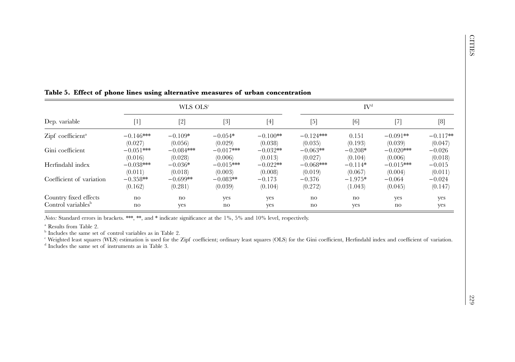| Dep. variable                                                                                                                                                                                                                                                                                                                                                                                                                                                                 |             | WLS OLS <sup>c</sup> |             | IV <sup>d</sup> |             |           |             |            |
|-------------------------------------------------------------------------------------------------------------------------------------------------------------------------------------------------------------------------------------------------------------------------------------------------------------------------------------------------------------------------------------------------------------------------------------------------------------------------------|-------------|----------------------|-------------|-----------------|-------------|-----------|-------------|------------|
|                                                                                                                                                                                                                                                                                                                                                                                                                                                                               | $[1]$       | $[2]$                | $[3]$       | $[4]$           | $[5]$       | [6]       | $[7]$       | $[8]$      |
| Zipf coefficient <sup>a</sup>                                                                                                                                                                                                                                                                                                                                                                                                                                                 | $-0.146***$ | $-0.109*$            | $-0.054*$   | $-0.100**$      | $-0.124***$ | 0.151     | $-0.091**$  | $-0.117**$ |
|                                                                                                                                                                                                                                                                                                                                                                                                                                                                               | (0.027)     | (0.056)              | (0.029)     | (0.038)         | (0.035)     | (0.193)   | (0.039)     | (0.047)    |
| Gini coefficient                                                                                                                                                                                                                                                                                                                                                                                                                                                              | $-0.051***$ | $-0.084***$          | $-0.017***$ | $-0.032**$      | $-0.063**$  | $-0.208*$ | $-0.020***$ | $-0.026$   |
|                                                                                                                                                                                                                                                                                                                                                                                                                                                                               | (0.016)     | (0.028)              | (0.006)     | (0.013)         | (0.027)     | (0.104)   | (0.006)     | (0.018)    |
| Herfindahl index                                                                                                                                                                                                                                                                                                                                                                                                                                                              | $-0.038***$ | $-0.036*$            | $-0.015***$ | $-0.022**$      | $-0.068***$ | $-0.114*$ | $-0.015***$ | $-0.015$   |
|                                                                                                                                                                                                                                                                                                                                                                                                                                                                               | (0.011)     | (0.018)              | (0.003)     | (0.008)         | (0.019)     | (0.067)   | (0.004)     | (0.011)    |
| Coefficient of variation                                                                                                                                                                                                                                                                                                                                                                                                                                                      | $-0.358**$  | $-0.699**$           | $-0.083**$  | $-0.173$        | $-0.376$    | $-1.975*$ | $-0.064$    | $-0.024$   |
|                                                                                                                                                                                                                                                                                                                                                                                                                                                                               | (0.162)     | (0.281)              | (0.039)     | (0.104)         | (0.272)     | (1.043)   | (0.045)     | (0.147)    |
| Country fixed effects                                                                                                                                                                                                                                                                                                                                                                                                                                                         | no          | no                   | yes         | yes             | no          | no        | yes         | yes        |
| Control variables <sup>b</sup>                                                                                                                                                                                                                                                                                                                                                                                                                                                | no          | yes                  | no          | yes             | no          | yes       | no          | yes        |
| Notes: Standard errors in brackets. ***, **, and * indicate significance at the 1%, 5% and 10% level, respectively.<br><sup>a</sup> Results from Table 2.<br>Includes the same set of control variables as in Table 2.<br>Weighted least squares (WLS) estimation is used for the Zipf coefficient; ordinary least squares (OLS) for the Gini coefficient, Herfindahl index and coefficient of variation.<br><sup>d</sup> Includes the same set of instruments as in Table 3. |             |                      |             |                 |             |           |             |            |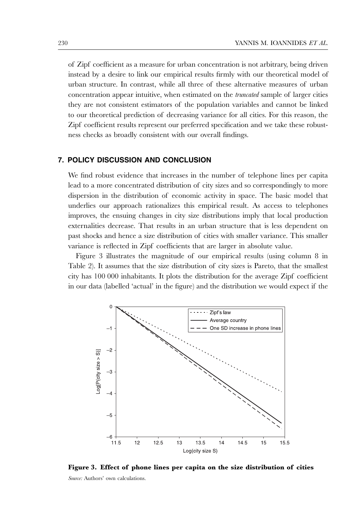of Zipf coefficient as a measure for urban concentration is not arbitrary, being driven instead by a desire to link our empirical results firmly with our theoretical model of urban structure. In contrast, while all three of these alternative measures of urban concentration appear intuitive, when estimated on the *truncated* sample of larger cities they are not consistent estimators of the population variables and cannot be linked to our theoretical prediction of decreasing variance for all cities. For this reason, the Zipf coefficient results represent our preferred specification and we take these robustness checks as broadly consistent with our overall findings.

#### **7. POLICY DISCUSSION AND CONCLUSION**

We find robust evidence that increases in the number of telephone lines per capita lead to a more concentrated distribution of city sizes and so correspondingly to more dispersion in the distribution of economic activity in space. The basic model that underlies our approach rationalizes this empirical result. As access to telephones improves, the ensuing changes in city size distributions imply that local production externalities decrease. That results in an urban structure that is less dependent on past shocks and hence a size distribution of cities with smaller variance. This smaller variance is reflected in Zipf coefficients that are larger in absolute value.

Figure 3 illustrates the magnitude of our empirical results (using column 8 in Table 2). It assumes that the size distribution of city sizes is Pareto, that the smallest city has 100 000 inhabitants. It plots the distribution for the average Zipf coefficient in our data (labelled 'actual' in the figure) and the distribution we would expect if the



**Figure 3. Effect of phone lines per capita on the size distribution of cities** *Source:* Authors' own calculations.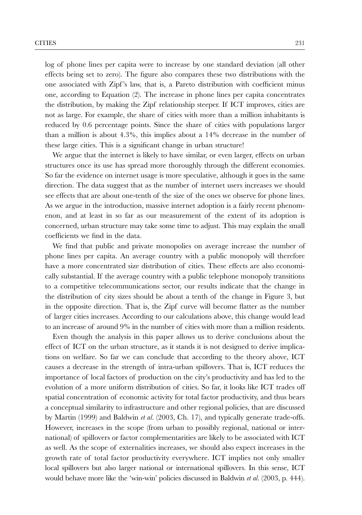log of phone lines per capita were to increase by one standard deviation (all other effects being set to zero). The figure also compares these two distributions with the one associated with Zipf 's law, that is, a Pareto distribution with coefficient minus one, according to Equation (2). The increase in phone lines per capita concentrates the distribution, by making the Zipf relationship steeper. If ICT improves, cities are not as large. For example, the share of cities with more than a million inhabitants is reduced by 0.6 percentage points. Since the share of cities with populations larger than a million is about 4.3%, this implies about a 14% decrease in the number of these large cities. This is a significant change in urban structure!

We argue that the internet is likely to have similar, or even larger, effects on urban structures once its use has spread more thoroughly through the different economies. So far the evidence on internet usage is more speculative, although it goes in the same direction. The data suggest that as the number of internet users increases we should see effects that are about one-tenth of the size of the ones we observe for phone lines. As we argue in the introduction, massive internet adoption is a fairly recent phenomenon, and at least in so far as our measurement of the extent of its adoption is concerned, urban structure may take some time to adjust. This may explain the small coefficients we find in the data.

We find that public and private monopolies on average increase the number of phone lines per capita. An average country with a public monopoly will therefore have a more concentrated size distribution of cities. These effects are also economically substantial. If the average country with a public telephone monopoly transitions to a competitive telecommunications sector, our results indicate that the change in the distribution of city sizes should be about a tenth of the change in Figure 3, but in the opposite direction. That is, the Zipf curve will become flatter as the number of larger cities increases. According to our calculations above, this change would lead to an increase of around 9% in the number of cities with more than a million residents.

Even though the analysis in this paper allows us to derive conclusions about the effect of ICT on the urban structure, as it stands it is not designed to derive implications on welfare. So far we can conclude that according to the theory above, ICT causes a decrease in the strength of intra-urban spillovers. That is, ICT reduces the importance of local factors of production on the city's productivity and has led to the evolution of a more uniform distribution of cities. So far, it looks like ICT trades off spatial concentration of economic activity for total factor productivity, and thus bears a conceptual similarity to infrastructure and other regional policies, that are discussed by Martin (1999) and Baldwin *et al.* (2003, Ch. 17), and typically generate trade-offs. However, increases in the scope (from urban to possibly regional, national or international) of spillovers or factor complementarities are likely to be associated with ICT as well. As the scope of externalities increases, we should also expect increases in the growth rate of total factor productivity everywhere. ICT implies not only smaller local spillovers but also larger national or international spillovers. In this sense, ICT would behave more like the 'win-win' policies discussed in Baldwin *et al.* (2003, p. 444).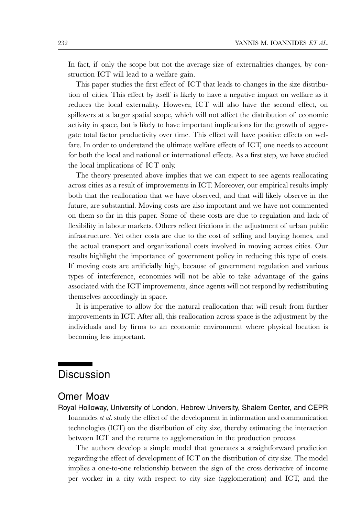In fact, if only the scope but not the average size of externalities changes, by construction ICT will lead to a welfare gain.

This paper studies the first effect of ICT that leads to changes in the size distribution of cities. This effect by itself is likely to have a negative impact on welfare as it reduces the local externality. However, ICT will also have the second effect, on spillovers at a larger spatial scope, which will not affect the distribution of economic activity in space, but is likely to have important implications for the growth of aggregate total factor productivity over time. This effect will have positive effects on welfare. In order to understand the ultimate welfare effects of ICT, one needs to account for both the local and national or international effects. As a first step, we have studied the local implications of ICT only.

The theory presented above implies that we can expect to see agents reallocating across cities as a result of improvements in ICT. Moreover, our empirical results imply both that the reallocation that we have observed, and that will likely observe in the future, are substantial. Moving costs are also important and we have not commented on them so far in this paper. Some of these costs are due to regulation and lack of flexibility in labour markets. Others reflect frictions in the adjustment of urban public infrastructure. Yet other costs are due to the cost of selling and buying homes, and the actual transport and organizational costs involved in moving across cities. Our results highlight the importance of government policy in reducing this type of costs. If moving costs are artificially high, because of government regulation and various types of interference, economies will not be able to take advantage of the gains associated with the ICT improvements, since agents will not respond by redistributing themselves accordingly in space.

It is imperative to allow for the natural reallocation that will result from further improvements in ICT. After all, this reallocation across space is the adjustment by the individuals and by firms to an economic environment where physical location is becoming less important.

#### **Discussion**

#### Omer Moav

Royal Holloway, University of London, Hebrew University, Shalem Center, and CEPR Ioannides *et al.* study the effect of the development in information and communication technologies (ICT) on the distribution of city size, thereby estimating the interaction between ICT and the returns to agglomeration in the production process.

The authors develop a simple model that generates a straightforward prediction regarding the effect of development of ICT on the distribution of city size. The model implies a one-to-one relationship between the sign of the cross derivative of income per worker in a city with respect to city size (agglomeration) and ICT, and the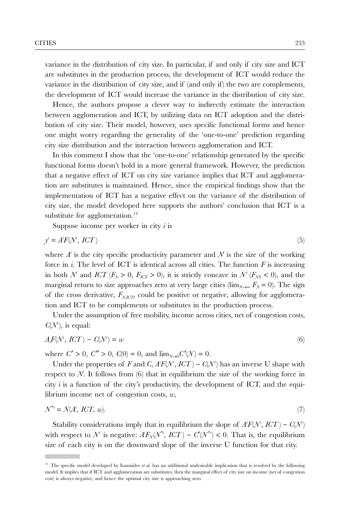variance in the distribution of city size. In particular, if and only if city size and ICT are substitutes in the production process, the development of ICT would reduce the variance in the distribution of city size, and if (and only if) the two are complements, the development of ICT would increase the variance in the distribution of city size.

Hence, the authors propose a clever way to indirectly estimate the interaction between agglomeration and ICT, by utilizing data on ICT adoption and the distribution of city size. Their model, however, uses specific functional forms and hence one might worry regarding the generality of the 'one-to-one' prediction regarding city size distribution and the interaction between agglomeration and ICT.

In this comment I show that the 'one-to-one' relationship generated by the specific functional forms doesn't hold in a more general framework. However, the prediction that a negative effect of ICT on city size variance implies that ICT and agglomeration are substitutes is maintained. Hence, since the empirical findings show that the implementation of ICT has a negative effect on the variance of the distribution of city size, the model developed here supports the authors' conclusion that ICT is a substitute for agglomeration.<sup>13</sup>

Suppose income per worker in city *i* is

$$
y^i = A^i F(N^i, ICT) \tag{5}
$$

where  $A^i$  is the city specific productivity parameter and  $N^i$  is the size of the working force in *i*. The level of ICT is identical across all cities. The function  $F$  is increasing in both  $N^i$  and  $ICT$  ( $F_N > 0$ ,  $F_{ICT} > 0$ ), it is strictly concave in  $N^i$  ( $F_{NN} < 0$ ), and the marginal return to size approaches zero at very large cities ( $\lim_{N\to\infty} F_N = 0$ ). The sign of the cross derivative,  $F_{MLT}$ , could be positive or negative, allowing for agglomeration and ICT to be complements or substitutes in the production process.

Under the assumption of free mobility, income across cities, net of congestion costs,  $C(N<sup>i</sup>)$ , is equal:

$$
A_i F(N^i, ICT) - C(N^i) = w \tag{6}
$$

where  $C' > 0$ ,  $C'' > 0$ ,  $C(0) = 0$ , and  $\lim_{N \to 0} C'(N) = 0$ .

Under the properties of *F* and *C*,  $A^iF(N^i, ICT) - C(N^i)$  has an inverse U shape with respect to  $N<sup>i</sup>$ . It follows from (6) that in equilibrium the size of the working force in city *i* is a function of the city's productivity, the development of ICT, and the equilibrium income net of congestion costs, *w*,

$$
\mathcal{N}^{*_i} = \mathcal{N}(A^i, \, ICT, \, w). \tag{7}
$$

Stability considerations imply that in equilibrium the slope of  $A$ <sup>*i*</sup> $F(N$ <sup>*i*</sup>,  $ICT$ ) –  $C(N$ <sup>*i*</sup>) with respect to  $\mathcal{N}^i$  is negative:  $\mathcal{A}^i F_N(\mathcal{N}^{*_i}, \mathit{ICT}) - \mathcal{C}(\mathcal{N}^{*_i}) < 0$ . That is, the equilibrium size of each city is on the downward slope of the inverse U function for that city.

<sup>&</sup>lt;sup>13</sup> The specific model developed by Ioannides *et al.* has an additional undesirable implication that is resolved by the following model. It implies that if ICT and agglomeration are substitutes, then the marginal effect of city size on income (net of congestion cost) is always negative, and hence the optimal city size is approaching zero.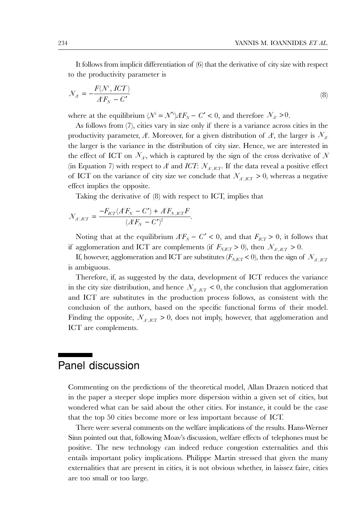It follows from implicit differentiation of (6) that the derivative of city size with respect to the productivity parameter is

$$
\mathcal{N}_{A'} = -\frac{F(\mathcal{N}^i, ICT)}{A^i F_N - C'}
$$
\n(8)

where at the equilibrium  $(N^{i} = N^{*i})A^{i}F_{N} - C' < 0$ , and therefore  $N_{A^{i}} > 0$ .

As follows from (7), cities vary in size only if there is a variance across cities in the productivity parameter,  $A^i$ . Moreover, for a given distribution of  $A^i$ , the larger is  $\mathcal{N}_A$ the larger is the variance in the distribution of city size. Hence, we are interested in the effect of ICT on  $\mathcal{N}_{A}$ , which is captured by the sign of the cross derivative of  $\mathcal{N}_{A}$ (in Equation 7) with respect to  $A^i$  and *ICT*:  $\mathcal{N}_{A^i, ICT}$ . If the data reveal a positive effect of ICT on the variance of city size we conclude that  $\mathcal{N}_{A^i, ICT} > 0$ , whereas a negative effect implies the opposite.

Taking the derivative of (8) with respect to ICT, implies that

$$
\mathcal{N}_{A^i, KCT} = \frac{-F_{ICT}(A^i F_N - C') + A^i F_{N, KCT} F}{(A^i F_N - C')^2}.
$$

Noting that at the equilibrium  $A$ <sup>*i*</sup> $F_N$  –  $C'$  < 0, and that  $F_{ICT}$  > 0, it follows that if agglomeration and ICT are complements (if  $F_{N,ICT} > 0$ ), then  $\mathcal{N}_{A^i, ICT} > 0$ .

If, however, agglomeration and ICT are substitutes ( $F_{N,ICT} < 0$ ), then the sign of  $\mathcal{N}_{A^i,ICI}$ is ambiguous.

Therefore, if, as suggested by the data, development of ICT reduces the variance in the city size distribution, and hence  $\mathcal{N}_{A^i, ICT} < 0$ , the conclusion that agglomeration and ICT are substitutes in the production process follows, as consistent with the conclusion of the authors, based on the specific functional forms of their model. Finding the opposite,  $N_{A^i, ICT} > 0$ , does not imply, however, that agglomeration and ICT are complements.

### Panel discussion

Commenting on the predictions of the theoretical model, Allan Drazen noticed that in the paper a steeper slope implies more dispersion within a given set of cities, but wondered what can be said about the other cities. For instance, it could be the case that the top 50 cities become more or less important because of ICT.

There were several comments on the welfare implications of the results. Hans-Werner Sinn pointed out that, following Moav's discussion, welfare effects of telephones must be positive. The new technology can indeed reduce congestion externalities and this entails important policy implications. Philippe Martin stressed that given the many externalities that are present in cities, it is not obvious whether, in laissez faire, cities are too small or too large.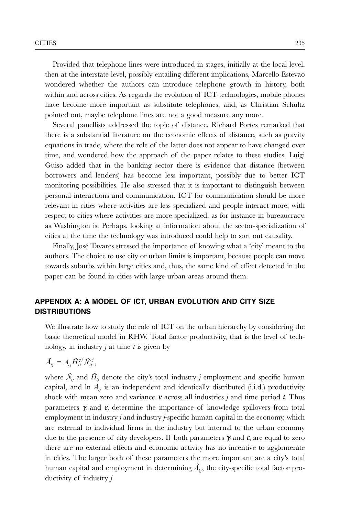Provided that telephone lines were introduced in stages, initially at the local level, then at the interstate level, possibly entailing different implications, Marcello Estevao wondered whether the authors can introduce telephone growth in history, both within and across cities. As regards the evolution of ICT technologies, mobile phones have become more important as substitute telephones, and, as Christian Schultz pointed out, maybe telephone lines are not a good measure any more.

Several panellists addressed the topic of distance. Richard Portes remarked that there is a substantial literature on the economic effects of distance, such as gravity equations in trade, where the role of the latter does not appear to have changed over time, and wondered how the approach of the paper relates to these studies. Luigi Guiso added that in the banking sector there is evidence that distance (between borrowers and lenders) has become less important, possibly due to better ICT monitoring possibilities. He also stressed that it is important to distinguish between personal interactions and communication. ICT for communication should be more relevant in cities where activities are less specialized and people interact more, with respect to cities where activities are more specialized, as for instance in bureaucracy, as Washington is. Perhaps, looking at information about the sector-specialization of cities at the time the technology was introduced could help to sort out causality.

Finally, José Tavares stressed the importance of knowing what a 'city' meant to the authors. The choice to use city or urban limits is important, because people can move towards suburbs within large cities and, thus, the same kind of effect detected in the paper can be found in cities with large urban areas around them.

#### **APPENDIX A: A MODEL OF ICT, URBAN EVOLUTION AND CITY SIZE DISTRIBUTIONS**

We illustrate how to study the role of ICT on the urban hierarchy by considering the basic theoretical model in RHW. Total factor productivity, that is the level of technology, in industry *j* at time *t* is given by

$$
\tilde{A}_{ij} = A_{ij} \tilde{H}_{ij}^{\gamma j} \tilde{N}_{ij}^{\epsilon j},
$$

where  $\tilde{N}_{t_j}$  and  $\tilde{H}_{t_j}$  denote the city's total industry *j* employment and specific human capital, and  $\ln A_{ti}$  is an independent and identically distributed (i.i.d.) productivity shock with mean zero and variance ν across all industries *j* and time period *t.* Thus parameters  $\gamma_j$  and  $\varepsilon_j$  determine the importance of knowledge spillovers from total employment in industry *j* and industry *j*-specific human capital in the economy, which are external to individual firms in the industry but internal to the urban economy due to the presence of city developers. If both parameters  $\gamma_j$  and  $\epsilon_j$  are equal to zero there are no external effects and economic activity has no incentive to agglomerate in cities. The larger both of these parameters the more important are a city's total human capital and employment in determining  $\tilde{A}_{i}$ , the city-specific total factor productivity of industry *j.*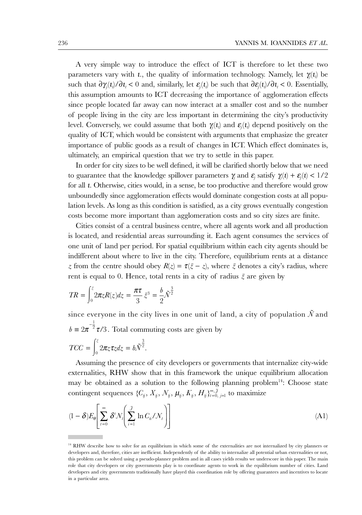A very simple way to introduce the effect of ICT is therefore to let these two parameters vary with *t*., the quality of information technology. Namely, let  $\gamma_i(t)$  be such that  $\frac{\partial \gamma_j(t_i)}{\partial t_i} < 0$  and, similarly, let  $\varepsilon_j(t_i)$  be such that  $\frac{\partial \varepsilon_j(t_i)}{\partial t_i} < 0$ . Essentially, this assumption amounts to ICT decreasing the importance of agglomeration effects since people located far away can now interact at a smaller cost and so the number of people living in the city are less important in determining the city's productivity level. Conversely, we could assume that both  $\gamma_j(t)$  and  $\varepsilon_j(t)$  depend positively on the quality of ICT, which would be consistent with arguments that emphasize the greater importance of public goods as a result of changes in ICT. Which effect dominates is, ultimately, an empirical question that we try to settle in this paper.

In order for city sizes to be well defined, it will be clarified shortly below that we need to guarantee that the knowledge spillover parameters  $\gamma_j$  and  $\varepsilon_j$  satisfy  $\gamma_j(t) + \varepsilon_j(t) < 1/2$ for all *t*. Otherwise, cities would, in a sense, be too productive and therefore would grow unboundedly since agglomeration effects would dominate congestion costs at all population levels. As long as this condition is satisfied, as a city grows eventually congestion costs become more important than agglomeration costs and so city sizes are finite.

Cities consist of a central business centre, where all agents work and all production is located, and residential areas surrounding it. Each agent consumes the services of one unit of land per period. For spatial equilibrium within each city agents should be indifferent about where to live in the city. Therefore, equilibrium rents at a distance *z* from the centre should obey  $R(z) = \tau(\bar{z} - z)$ , where  $\bar{z}$  denotes a city's radius, where rent is equal to 0. Hence, total rents in a city of radius  $\bar{z}$  are given by

$$
TR = \int_0^{\overline{z}} 2\pi z R(z) dz = \frac{\pi \tau}{3} \overline{z}^3 = \frac{b}{2} \overline{\lambda}^3
$$

since everyone in the city lives in one unit of land, a city of population  $\tilde{N}$  and  $b = 2\pi^{-\frac{1}{2}} \tau/3$ . Total commuting costs are given by  $\pi^{-\frac{1}{2}}\tau$ 

$$
TCC = \int_0^z 2\pi z \tau z dz = b\tilde{N}^{\frac{3}{2}}.
$$

Assuming the presence of city developers or governments that internalize city-wide externalities, RHW show that in this framework the unique equilibrium allocation may be obtained as a solution to the following planning problem<sup>14</sup>: Choose state contingent sequences  $\{C_j, X_j, N_j, \mu_j, K_j, H_j\}_{i=0, j=1}^{\infty, \mathcal{J}}$  to maximize

$$
(1 - \delta)E_{\theta} \left[ \sum_{t=0}^{\infty} \delta^{t} \mathcal{N}_t \left( \sum_{i=1}^{J} \ln C_i / \mathcal{N}_t \right) \right]
$$
(A1)

<sup>&</sup>lt;sup>14</sup> RHW describe how to solve for an equilibrium in which some of the externalities are not internalized by city planners or developers and, therefore, cities are inefficient. Independently of the ability to internalize all potential urban externalities or not, this problem can be solved using a pseudo-planner problem and in all cases yields results we underscore in this paper. The main role that city developers or city governments play is to coordinate agents to work in the equilibrium number of cities. Land developers and city governments traditionally have played this coordination role by offering guarantees and incentives to locate in a particular area.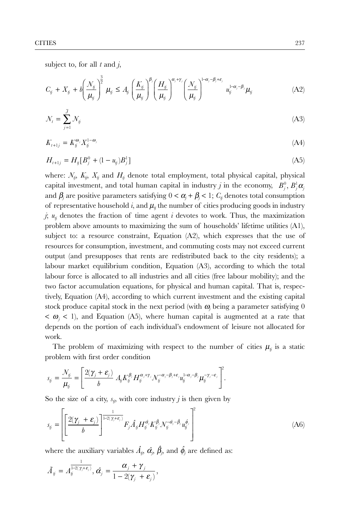subject to, for all *t* and *j*,

$$
C_{ij} + X_{ij} + b \left(\frac{\mathcal{N}_j}{\mu_j}\right)^{\frac{3}{2}} \mu_j \le A_j \left(\frac{K_j}{\mu_j}\right)^{\beta_j} \left(\frac{H_j}{\mu_j}\right)^{\alpha_j + \gamma_j} \left(\frac{\mathcal{N}_j}{\mu_j}\right)^{1 - \alpha_j - \beta_j + \epsilon_j} u_j^{1 - \alpha_j - \beta_j} \mu_j \tag{A2}
$$

$$
\mathcal{N}_t = \sum_{j=1}^J \mathcal{N}_j \tag{A3}
$$

$$
K_{t+1j} = K_{ij}^{\omega_j} X_j^{1-\omega_j} \tag{A4}
$$

$$
H_{i+1j} = H_{ij}[B_j^0 + (1 - u_{ij})B_j^1]
$$
\n(A5)

where:  $N_{ij}$ ,  $K_{ij}$ ,  $X_{ij}$  and  $H_{ij}$  denote total employment, total physical capital, physical capital investment, and total human capital in industry *j* in the economy,  $B_j^0$ ,  $B_j^1\alpha_j$ and  $\beta_j$  are positive parameters satisfying  $0 < \alpha_j + \beta_j < 1$ ;  $C_j$  denotes total consumption of representative household *i*, and  $\mu_{ij}$  the number of cities producing goods in industry  $j$ ;  $u_{ij}$  denotes the fraction of time agent *i* devotes to work. Thus, the maximization problem above amounts to maximizing the sum of households' lifetime utilities (A1), subject to: a resource constraint, Equation (A2), which expresses that the use of resources for consumption, investment, and commuting costs may not exceed current output (and presupposes that rents are redistributed back to the city residents); a labour market equilibrium condition, Equation (A3), according to which the total labour force is allocated to all industries and all cities (free labour mobility); and the two factor accumulation equations, for physical and human capital. That is, respectively, Equation (A4), according to which current investment and the existing capital stock produce capital stock in the next period (with  $\boldsymbol{\omega_{j}}$  being a parameter satisfying  $0$  $\langle \omega_i \rangle$  = 1), and Equation (A5), where human capital is augmented at a rate that depends on the portion of each individual's endowment of leisure not allocated for work.

The problem of maximizing with respect to the number of cities  $\mu_{ij}$  is a static problem with first order condition

$$
s_{ij} = \frac{\mathcal{N}_{ij}}{\mu_{ij}} = \left[ \frac{2(\gamma_j + \varepsilon_j)}{b} A_{ij} K_{ij}^{\beta_j} H_{ij}^{\alpha_j + \gamma_j} \mathcal{N}_j^{-\alpha_j - \beta_j + \varepsilon_j} u_{ij}^{1 - \alpha_j - \beta_j} \mu_{ij}^{-\gamma_j - \varepsilon_j} \right]^2.
$$

So the size of a city,  $s_{ij}$ , with core industry *j* is then given by

$$
s_{ij} = \left[ \left[ \frac{2(\gamma_j + \varepsilon_j)}{b} \right]^{1} F_j \hat{A}_{ij} H_{ij}^{\alpha_j} K_{ij}^{\beta_j} \mathcal{N}_j^{-\alpha_j - \beta_j} u_{ij}^{\delta_j} \right]^2 \tag{A6}
$$

where the auxiliary variables  $\hat{A}_j$ ,  $\hat{\alpha}_j$ ,  $\hat{\beta}_j$ , and  $\hat{\phi}_j$  are defined as:

$$
\tilde{A}_{ij} = A_{ij}^{\frac{1}{1-2(\gamma+\epsilon_j)}}, \hat{\alpha}_j = \frac{\alpha_j + \gamma_j}{1-2(\gamma_j + \epsilon_j)},
$$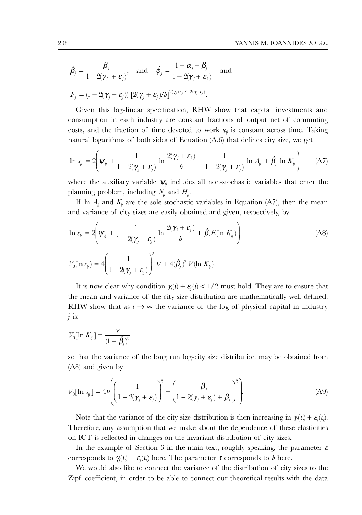$$
\hat{\beta}_j = \frac{\beta_j}{1 - 2(\gamma_j + \varepsilon_j)}, \text{ and } \hat{\phi}_j = \frac{1 - \alpha_j - \beta_j}{1 - 2(\gamma_j + \varepsilon_j)} \text{ and}
$$
\n
$$
F_j = (1 - 2(\gamma_j + \varepsilon_j)) [2(\gamma_j + \varepsilon_j)/b]^{2(\gamma_j + \varepsilon_j)/1 - 2(\gamma_j + \varepsilon_j)}.
$$

Given this log-linear specification, RHW show that capital investments and consumption in each industry are constant fractions of output net of commuting costs, and the fraction of time devoted to work  $u_{ij}$  is constant across time. Taking natural logarithms of both sides of Equation (A.6) that defines city size, we get

$$
\ln s_{ij} = 2 \left( \psi_{ij} + \frac{1}{1 - 2(\gamma_j + \varepsilon_j)} \ln \frac{2(\gamma_j + \varepsilon_j)}{b} + \frac{1}{1 - 2(\gamma_j + \varepsilon_j)} \ln A_{ij} + \hat{\beta}_{j} \ln K_{ij} \right) \tag{A7}
$$

where the auxiliary variable  $\psi_j$  includes all non-stochastic variables that enter the planning problem, including  $\mathcal{N}_i$  and  $H_i$ .

If  $\ln A_i$  and  $K_i$  are the sole stochastic variables in Equation (A7), then the mean and variance of city sizes are easily obtained and given, respectively, by

$$
\ln s_{ij} = 2 \left( \psi_{ij} + \frac{1}{1 - 2(\gamma_j + \varepsilon_j)} \ln \frac{2(\gamma_j + \varepsilon_j)}{b} + \hat{\beta}_j E(\ln K_{ij}) \right)
$$
\n
$$
V_0(\ln s_{ij}) = 4 \left( \frac{1}{1 - 2(\gamma_j + \varepsilon_j)} \right)^2 \mathbf{v} + 4(\hat{\beta}_j)^2 V(\ln K_{ij}).
$$
\n(A8)

It is now clear why condition  $\chi(t) + \varepsilon_i(t) < 1/2$  must hold. They are to ensure that the mean and variance of the city size distribution are mathematically well defined. RHW show that as  $t \to \infty$  the variance of the log of physical capital in industry *j* is:

$$
V_0[\ln K_{ij}] = \frac{V}{(1+\hat{\beta}_j)^2}
$$

so that the variance of the long run log-city size distribution may be obtained from (A8) and given by

$$
V_0[\ln s_j] = 4\sqrt{\left(\frac{1}{1 - 2(\gamma_j + \varepsilon_j)}\right)^2 + \left(\frac{\beta_j}{1 - 2(\gamma_j + \varepsilon_j) + \beta_j}\right)^2}\right).
$$
 (A9)

Note that the variance of the city size distribution is then increasing in  $\gamma_j(t) + \varepsilon_i(t)$ . Therefore, any assumption that we make about the dependence of these elasticities on ICT is reflected in changes on the invariant distribution of city sizes.

In the example of Section 3 in the main text, roughly speaking, the parameter  $\varepsilon$ corresponds to  $\chi(t) + \varepsilon_j(t)$  here. The parameter  $\tau$  corresponds to *b* here.

We would also like to connect the variance of the distribution of city sizes to the Zipf coefficient, in order to be able to connect our theoretical results with the data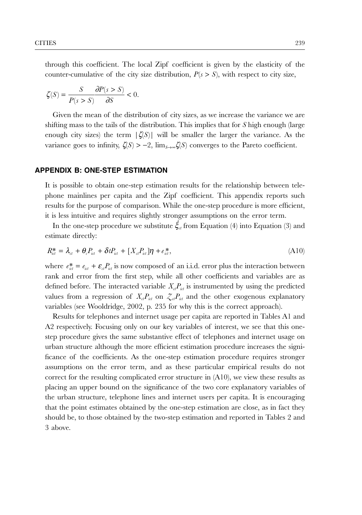through this coefficient. The local Zipf coefficient is given by the elasticity of the counter-cumulative of the city size distribution,  $P(s > S)$ , with respect to city size,

$$
\zeta(S) = \frac{S}{P(s > S)} \frac{\partial P(s > S)}{\partial S} < 0.
$$

Given the mean of the distribution of city sizes, as we increase the variance we are shifting mass to the tails of the distribution. This implies that for *S* high enough (large enough city sizes) the term  $|\zeta(S)|$  will be smaller the larger the variance. As the variance goes to infinity,  $\zeta(S) > -2$ ,  $\lim_{S \to \infty} \zeta(S)$  converges to the Pareto coefficient.

#### **APPENDIX B: ONE-STEP ESTIMATION**

It is possible to obtain one-step estimation results for the relationship between telephone mainlines per capita and the Zipf coefficient. This appendix reports such results for the purpose of comparison. While the one-step procedure is more efficient, it is less intuitive and requires slightly stronger assumptions on the error term.

In the one-step procedure we substitute  $\hat{\xi}_d$  from Equation (4) into Equation (3) and estimate directly:

$$
R_{\text{it}}^* = \lambda_{\text{at}} + \theta_{\text{c}} P_{\text{it}} + \delta t P_{\text{it}} + [X_{\text{at}} P_{\text{it}}] \eta + e_{\text{it}}^*,
$$
(A10)

where  $e_{ict}^* = e_{ict} + \varepsilon_d P_{ict}$  is now composed of an i.i.d. error plus the interaction between rank and error from the first step, while all other coefficients and variables are as defined before. The interacted variable  $X_d P_{i\mu}$  is instrumented by using the predicted values from a regression of  $X_dP_{it}$  on  $\mathcal{Z}_dP_{it}$  and the other exogenous explanatory variables (see Wooldridge, 2002, p. 235 for why this is the correct approach).

Results for telephones and internet usage per capita are reported in Tables A1 and A2 respectively. Focusing only on our key variables of interest, we see that this onestep procedure gives the same substantive effect of telephones and internet usage on urban structure although the more efficient estimation procedure increases the significance of the coefficients. As the one-step estimation procedure requires stronger assumptions on the error term, and as these particular empirical results do not correct for the resulting complicated error structure in (A10), we view these results as placing an upper bound on the significance of the two core explanatory variables of the urban structure, telephone lines and internet users per capita. It is encouraging that the point estimates obtained by the one-step estimation are close, as in fact they should be, to those obtained by the two-step estimation and reported in Tables 2 and 3 above.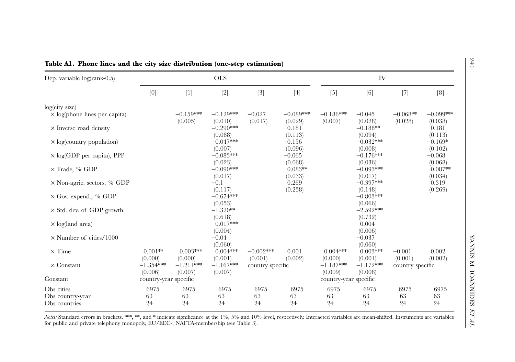| Dep. variable $log(rank-0.5)$        |                        |                        | <b>OLS</b>             | IV                     |                        |                        |                        |                       |                        |
|--------------------------------------|------------------------|------------------------|------------------------|------------------------|------------------------|------------------------|------------------------|-----------------------|------------------------|
|                                      | $[0]$                  | $[1]$                  | $[2]$                  | $[3]$                  | $[4]$                  | $[5]$                  | [6]                    | $[7]$                 | $[8]$                  |
| log(city size)                       |                        |                        |                        |                        |                        |                        |                        |                       |                        |
| $\times$ log(phone lines per capita) |                        | $-0.159***$<br>(0.005) | $-0.129***$<br>(0.010) | $-0.027$<br>(0.017)    | $-0.089***$<br>(0.029) | $-0.186***$<br>(0.007) | $-0.045$<br>(0.028)    | $-0.068**$<br>(0.028) | $-0.099***$<br>(0.038) |
| $\times$ Inverse road density        |                        |                        | $-0.290***$<br>(0.088) |                        | 0.181<br>(0.113)       |                        | $-0.188**$<br>(0.094)  |                       | 0.181<br>(0.113)       |
| $\times$ log(country population)     |                        |                        | $-0.047***$<br>(0.007) |                        | $-0.156$<br>(0.096)    |                        | $-0.032***$<br>(0.008) |                       | $-0.169*$<br>(0.102)   |
| $\times$ log(GDP per capita), PPP    |                        |                        | $-0.083***$<br>(0.023) |                        | $-0.065$<br>(0.068)    |                        | $-0.176***$<br>(0.036) |                       | $-0.068$<br>(0.068)    |
| $\times$ Trade, % GDP                |                        |                        | $-0.090***$<br>(0.017) |                        | $0.083**$<br>(0.033)   |                        | $-0.093***$<br>(0.017) |                       | $0.087**$<br>(0.034)   |
| $\times$ Non-agric. sectors, % GDP   |                        |                        | $-0.1$<br>(0.117)      |                        | 0.269<br>(0.238)       |                        | $-0.397***$<br>(0.148) |                       | 0.319<br>(0.269)       |
| $\times$ Gov. expend., % GDP         |                        |                        | $-0.674***$<br>(0.053) |                        |                        |                        | $-0.803***$<br>(0.066) |                       |                        |
| $\times$ Std. dev. of GDP growth     |                        |                        | $-1.320**$<br>(0.618)  |                        |                        |                        | $-2.592***$<br>(0.732) |                       |                        |
| $\times$ log(land area)              |                        |                        | $0.017***$<br>(0.004)  |                        |                        |                        | 0.004<br>(0.006)       |                       |                        |
| $\times$ Number of cities/1000       |                        |                        | $-0.04$<br>(0.060)     |                        |                        |                        | $-0.037$<br>(0.060)    |                       |                        |
| $\times$ Time                        | $0.001**$<br>(0.000)   | $0.003***$<br>(0.000)  | $0.004***$<br>(0.001)  | $-0.002***$<br>(0.001) | 0.001<br>(0.002)       | $0.004***$<br>(0.000)  | $0.003***$<br>(0.001)  | $-0.001$<br>(0.001)   | 0.002<br>(0.002)       |
| $\times$ Constant                    | $-1.354***$<br>(0.006) | $-1.211***$<br>(0.007) | $-1.167***$<br>(0.007) | country specific       |                        | $-1.187***$<br>(0.009) | $-1.172***$<br>(0.008) | country specific      |                        |
| Constant                             | country-year specific  |                        |                        |                        |                        | country-year specific  |                        |                       |                        |
| Obs cities                           | 6975                   | 6975                   | 6975                   | 6975                   | 6975                   | 6975                   | 6975                   | 6975                  | 6975                   |
| Obs country-year<br>Obs countries    | 63<br>24               | 63<br>24               | 63<br>24               | 63<br>24               | 63<br>24               | 63<br>24               | 63<br>24               | 63<br>24              | 63<br>24               |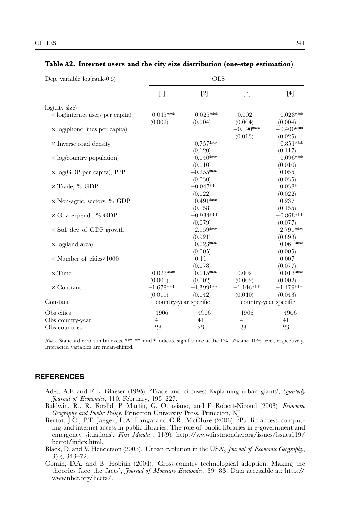| Dep. variable $log(rank-0.5)$           |             | <b>OLS</b>            |             |                       |
|-----------------------------------------|-------------|-----------------------|-------------|-----------------------|
|                                         | $[1]$       | $[2]$                 | $[3]$       | $[4]$                 |
| log(city size)                          |             |                       |             |                       |
| $\times$ log(internet users per capita) | $-0.045***$ | $-0.025***$           | $-0.002$    | $-0.028***$           |
|                                         | (0.002)     | (0.004)               | (0.004)     | (0.004)               |
| $\times$ log(phone lines per capita)    |             |                       | $-0.190***$ | $-0.400$ ***          |
|                                         |             |                       | (0.013)     | (0.025)               |
| $\times$ Inverse road density           |             | $-0.757***$           |             | $-0.851***$           |
|                                         |             | (0.120)               |             | (0.117)               |
| $\times$ log(country population)        |             | $-0.040***$           |             | $-0.096***$           |
|                                         |             | (0.010)               |             | (0.010)               |
| $\times$ log(GDP per capita), PPP       |             | $-0.255***$           |             | 0.055                 |
|                                         |             | (0.030)               |             | (0.035)               |
| $\times$ Trade, % GDP                   |             | $-0.047**$            |             | $0.038*$              |
|                                         |             | (0.022)               |             | (0.022)               |
| $\times$ Non-agric. sectors, % GDP      |             | $0.491***$            |             | 0.237                 |
|                                         |             | (0.158)               |             | (0.155)               |
| $\times$ Gov. expend., % GDP            |             | $-0.934***$           |             | $-0.868***$           |
|                                         |             | (0.079)               |             | (0.077)               |
| $\times$ Std. dev. of GDP growth        |             | $-2.959***$           |             | $-2.791***$           |
|                                         |             | (0.921)               |             | (0.898)               |
| $\times$ log(land area)                 |             | $0.023***$            |             | $0.061***$            |
|                                         |             | (0.005)               |             | (0.005)               |
| $\times$ Number of cities/1000          |             | $-0.11$               |             | 0.007                 |
|                                         |             | (0.078)               |             | (0.077)               |
| $\times$ Time                           | $0.023***$  | $0.015***$            | 0.002       | $0.018***$            |
|                                         | (0.001)     | (0.002)               | (0.002)     | (0.002)               |
| $\times$ Constant                       | $-1.678***$ | $-1.399***$           | $-1.146***$ | $-1.179***$           |
|                                         | (0.019)     | (0.042)               | (0.040)     | (0.043)               |
| Constant                                |             | country-year specific |             | country-year specific |
| Obs cities                              | 4906        | 4906                  | 4906        | 4906                  |
| Obs country-year                        | 41          | 41                    | 41          | 41                    |
| Obs countries                           | 23          | 23                    | 23          | 23                    |

**Table A2. Internet users and the city size distribution (one-step estimation)**

*Notes:* Standard errors in brackets. \*\*\*, \*\*, and \* indicate significance at the 1%, 5% and 10% level, respectively. Interacted variables are mean-shifted.

#### **REFERENCES**

- Ades, A.F. and E.L. Glaeser (1995). 'Trade and circuses: Explaining urban giants', *Quarterly Journal of Economics*, 110, February, 195–227.
- Baldwin, R., R. Forslid, P. Martin, G. Ottaviano, and F. Robert-Nicoud (2003). *Economic Geography and Public Policy*, Princeton University Press, Princeton, NJ.
- Bertot, J.C., P.T. Jaeger, L.A. Langa and C.R. McClure (2006). 'Public access computing and internet access in public libraries: The role of public libraries in e-government and emergency situations'. *First Monday*, 11(9). [http://www.firstmonday.org/issues/issues119/](http://www.firstmonday.org/issues/issues119/bertot/index.html) [bertot/index.html.](http://www.firstmonday.org/issues/issues119/bertot/index.html)
- Black, D. and V. Henderson (2003). 'Urban evolution in the USA', *Journal of Economic Geography*, 3(4), 343–72.
- Comin, D.A. and B. Hobijin (2004). 'Cross-country technological adoption: Making the theories face the facts', *Journal of Monetary Economics*, 39–83. Data accessible at: [http://](http://www.nber.org/hccta/) [www.nber.org/hccta/.](http://www.nber.org/hccta/)